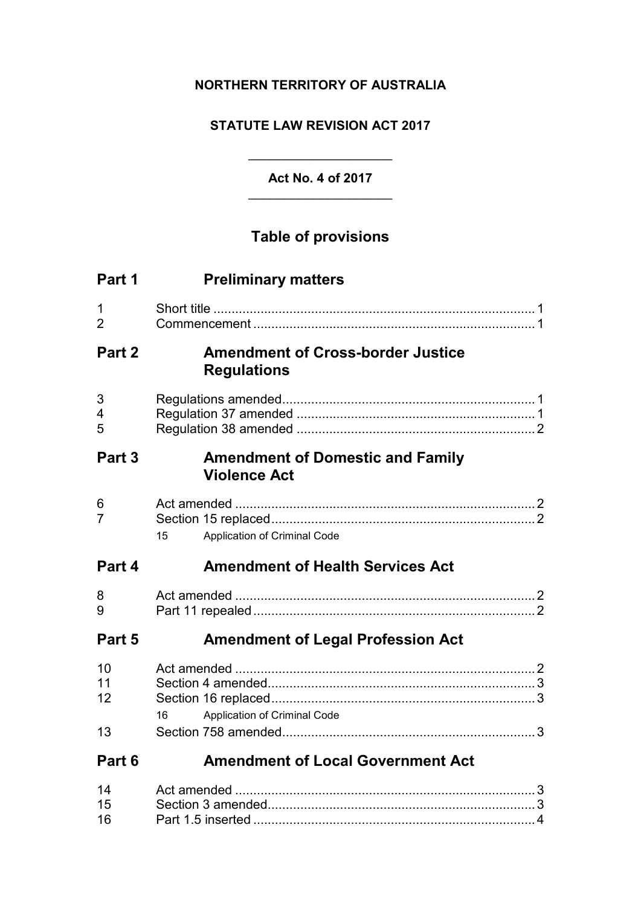## **NORTHERN TERRITORY OF AUSTRALIA**

## **STATUTE LAW REVISION ACT 2017**

**Act No. 4 of 2017**  $\overline{\phantom{a}}$  , where  $\overline{\phantom{a}}$  , where  $\overline{\phantom{a}}$  , where  $\overline{\phantom{a}}$ 

 $\overline{\phantom{a}}$  , where  $\overline{\phantom{a}}$  , where  $\overline{\phantom{a}}$  , where  $\overline{\phantom{a}}$ 

## **Table of provisions**

| Part 1                        | <b>Preliminary matters</b>                                     |  |
|-------------------------------|----------------------------------------------------------------|--|
| $\mathbf 1$<br>$\overline{2}$ |                                                                |  |
| Part 2                        | <b>Amendment of Cross-border Justice</b><br><b>Regulations</b> |  |
| 3<br>4<br>5                   |                                                                |  |
| Part 3                        | <b>Amendment of Domestic and Family</b><br><b>Violence Act</b> |  |
| 6<br>$\overline{7}$           | Application of Criminal Code<br>15                             |  |
| Part 4                        | <b>Amendment of Health Services Act</b>                        |  |
| 8<br>9                        |                                                                |  |
| Part 5                        | <b>Amendment of Legal Profession Act</b>                       |  |
| 10<br>11<br>12                | Application of Criminal Code<br>16                             |  |
| 13                            |                                                                |  |
| Part 6                        | <b>Amendment of Local Government Act</b>                       |  |
| 14<br>15                      |                                                                |  |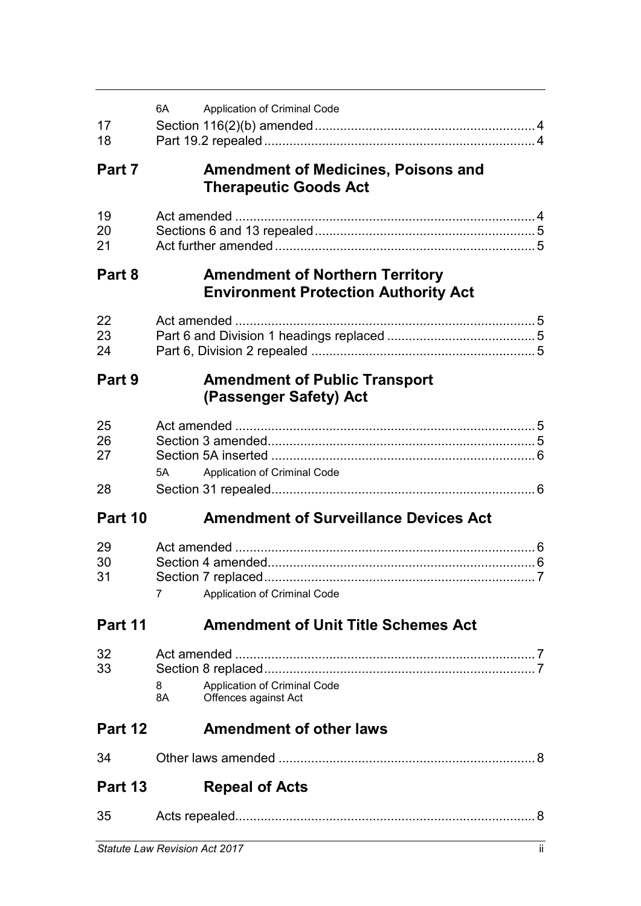| 17<br>18                      | 6A      | Application of Criminal Code                                                          |     |
|-------------------------------|---------|---------------------------------------------------------------------------------------|-----|
| Part 7                        |         | <b>Amendment of Medicines, Poisons and</b><br><b>Therapeutic Goods Act</b>            |     |
| 19<br>20<br>21                |         |                                                                                       |     |
| Part 8                        |         | <b>Amendment of Northern Territory</b><br><b>Environment Protection Authority Act</b> |     |
| 22<br>23<br>24                |         |                                                                                       |     |
| Part 9                        |         | <b>Amendment of Public Transport</b><br>(Passenger Safety) Act                        |     |
| 25<br>26<br>27                | 5A -    | Application of Criminal Code                                                          |     |
| 28                            |         |                                                                                       |     |
| Part 10                       |         | <b>Amendment of Surveillance Devices Act</b>                                          |     |
| 29<br>30<br>31                | 7       | Application of Criminal Code                                                          |     |
| Part 11                       |         | <b>Amendment of Unit Title Schemes Act</b>                                            |     |
| 32<br>33                      | 8<br>8A | Application of Criminal Code<br>Offences against Act                                  |     |
| Part 12                       |         | <b>Amendment of other laws</b>                                                        |     |
| 34                            |         |                                                                                       |     |
| Part 13                       |         | <b>Repeal of Acts</b>                                                                 |     |
| 35                            |         |                                                                                       |     |
| Statute Law Revision Act 2017 |         |                                                                                       | ii. |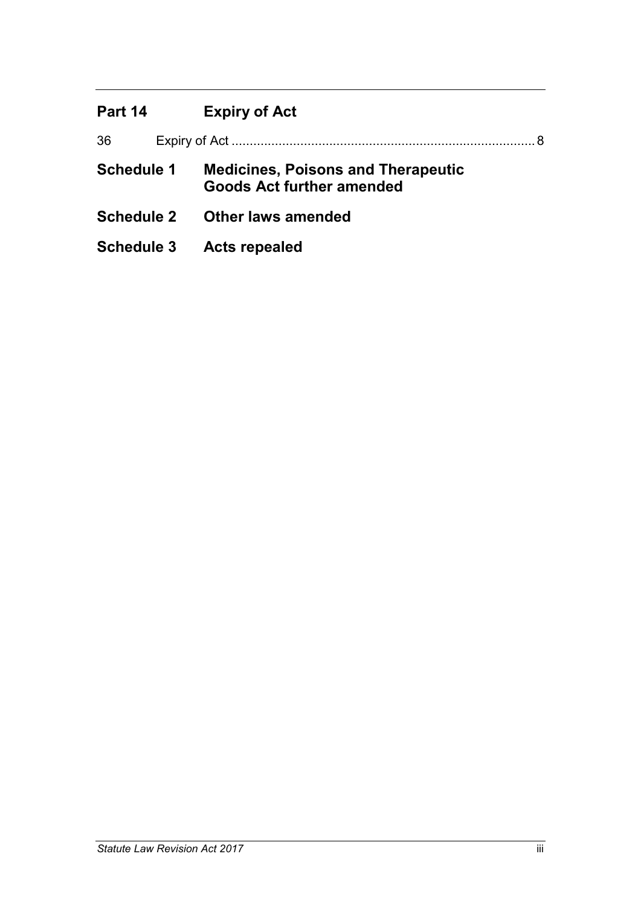# **Part 14 Expiry of Act** 36 Expiry of Act .................................................................................... 8 **Schedule 1 Medicines, Poisons and Therapeutic Goods Act further amended Schedule 2 Other laws amended Schedule 3 Acts repealed**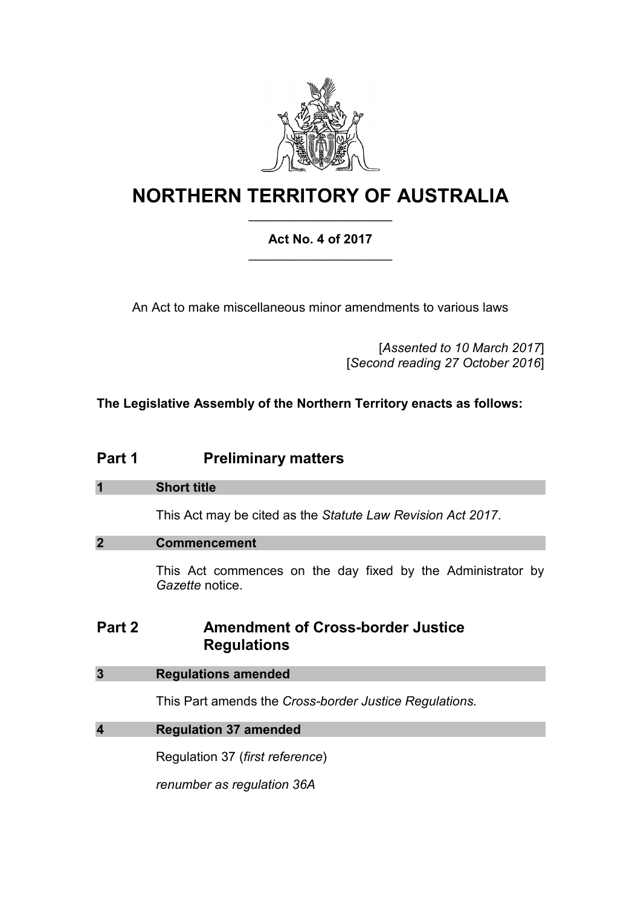

## **NORTHERN TERRITORY OF AUSTRALIA** \_\_\_\_\_\_\_\_\_\_\_\_\_\_\_\_\_\_\_\_

## **Act No. 4 of 2017** \_\_\_\_\_\_\_\_\_\_\_\_\_\_\_\_\_\_\_\_

An Act to make miscellaneous minor amendments to various laws

[*Assented to 10 March 2017*] [*Second reading 27 October 2016*]

**The Legislative Assembly of the Northern Territory enacts as follows:**

## **Part 1 Preliminary matters**

## **1 Short title**

This Act may be cited as the *Statute Law Revision Act 2017*.

#### **2 Commencement**

This Act commences on the day fixed by the Administrator by *Gazette* notice.

## **Part 2 Amendment of Cross-border Justice Regulations**

#### **3 Regulations amended**

This Part amends the *Cross-border Justice Regulations.*

## **4 Regulation 37 amended**

Regulation 37 (*first reference*)

*renumber as regulation 36A*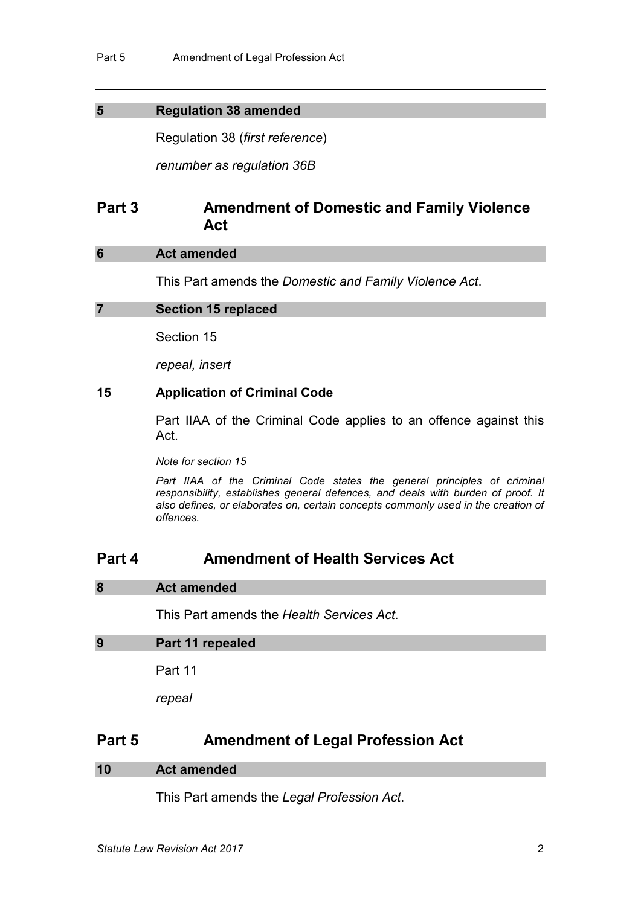### **5 Regulation 38 amended**

Regulation 38 (*first reference*)

*renumber as regulation 36B*

## **Part 3 Amendment of Domestic and Family Violence Act**

#### **6 Act amended**

This Part amends the *Domestic and Family Violence Act*.

#### **7 Section 15 replaced**

Section 15

*repeal, insert*

## **15 Application of Criminal Code**

Part IIAA of the Criminal Code applies to an offence against this Act.

*Note for section 15*

Part IIAA of the Criminal Code states the general principles of criminal *responsibility, establishes general defences, and deals with burden of proof. It also defines, or elaborates on, certain concepts commonly used in the creation of offences.*

## **Part 4 Amendment of Health Services Act**

### **8 Act amended**

This Part amends the *Health Services Act*.

#### **9 Part 11 repealed**

Part 11

*repeal*

## **Part 5 Amendment of Legal Profession Act**

#### **10 Act amended**

This Part amends the *Legal Profession Act*.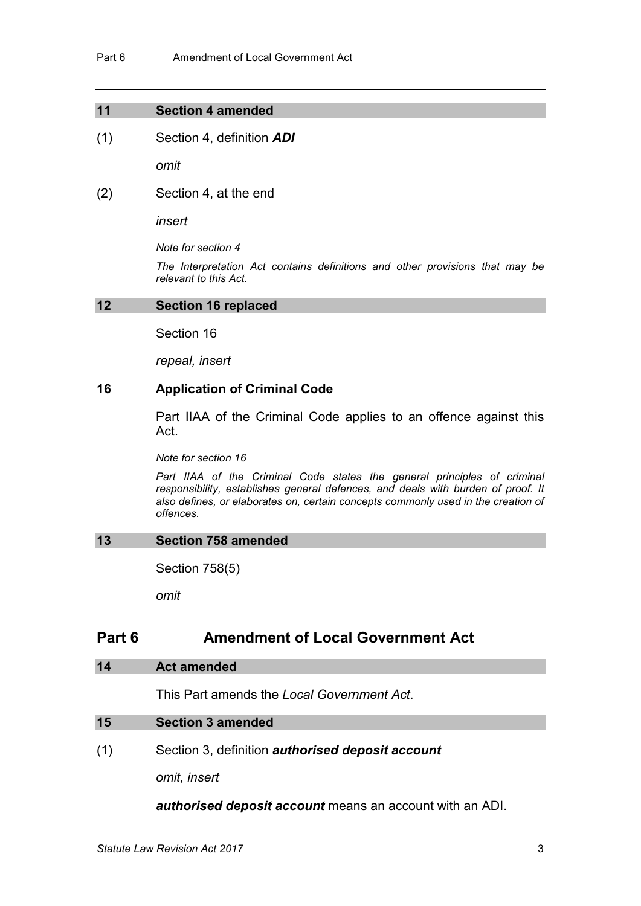#### **11 Section 4 amended**

(1) Section 4, definition *ADI*

*omit*

(2) Section 4, at the end

*insert*

*Note for section 4*

*The Interpretation Act contains definitions and other provisions that may be relevant to this Act.*

#### **12 Section 16 replaced**

Section 16

*repeal, insert*

#### **16 Application of Criminal Code**

Part IIAA of the Criminal Code applies to an offence against this Act.

*Note for section 16*

Part IIAA of the Criminal Code states the general principles of criminal *responsibility, establishes general defences, and deals with burden of proof. It also defines, or elaborates on, certain concepts commonly used in the creation of offences.*

#### **13 Section 758 amended**

Section 758(5)

*omit*

## **Part 6 Amendment of Local Government Act**

#### **14 Act amended**

This Part amends the *Local Government Act*.

#### **15 Section 3 amended**

(1) Section 3, definition *authorised deposit account*

*omit, insert*

#### *authorised deposit account* means an account with an ADI.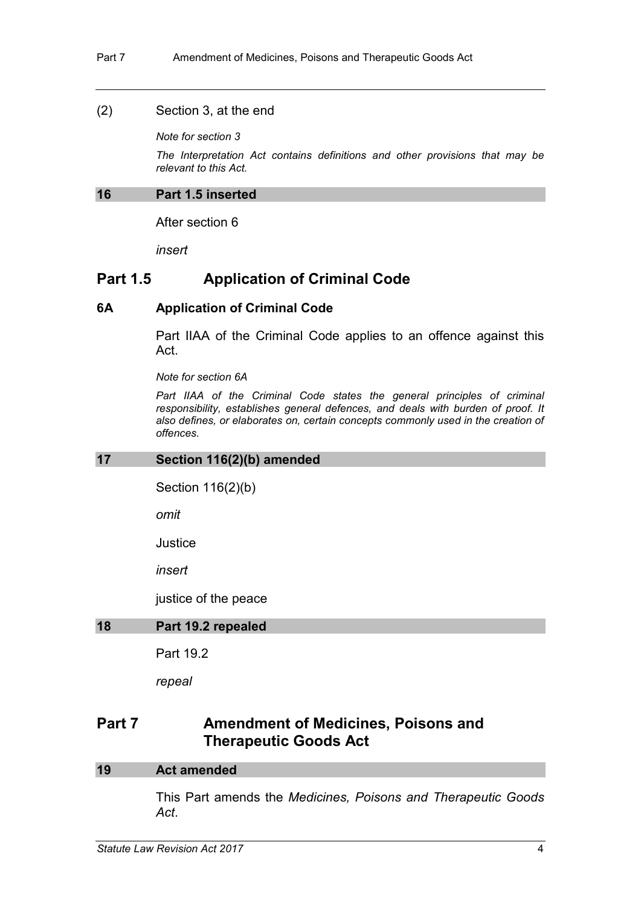#### (2) Section 3, at the end

*Note for section 3*

*The Interpretation Act contains definitions and other provisions that may be relevant to this Act.*

#### **16 Part 1.5 inserted**

After section 6

*insert*

## **Part 1.5 Application of Criminal Code**

#### **6A Application of Criminal Code**

Part IIAA of the Criminal Code applies to an offence against this Act.

*Note for section 6A*

Part IIAA of the Criminal Code states the general principles of criminal *responsibility, establishes general defences, and deals with burden of proof. It also defines, or elaborates on, certain concepts commonly used in the creation of offences.*

#### **17 Section 116(2)(b) amended**

Section 116(2)(b)

*omit*

**Justice** 

*insert*

justice of the peace

#### **18 Part 19.2 repealed**

Part 19.2

*repeal*

## **Part 7 Amendment of Medicines, Poisons and Therapeutic Goods Act**

#### **19 Act amended**

This Part amends the *Medicines, Poisons and Therapeutic Goods Act*.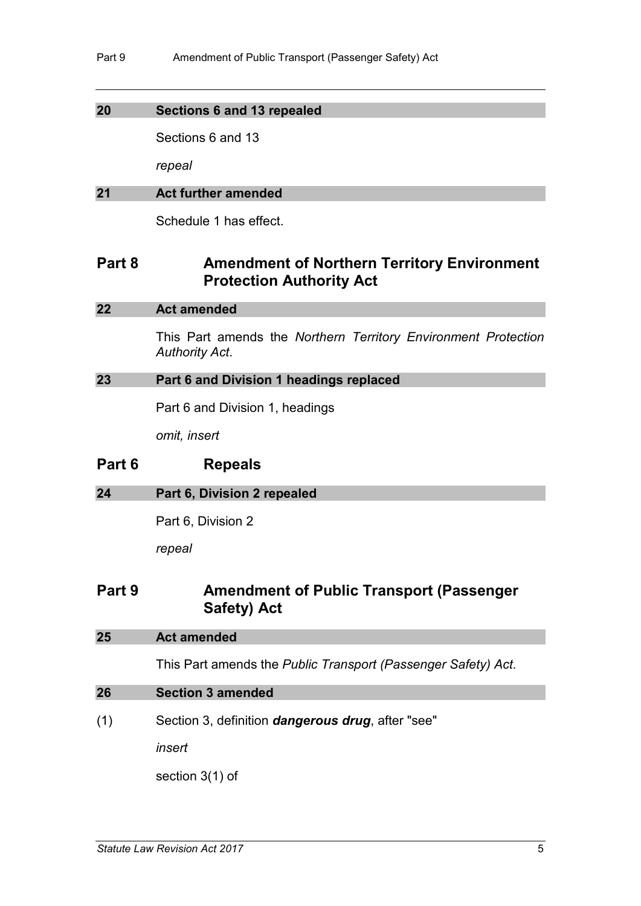#### **20 Sections 6 and 13 repealed**

Sections 6 and 13

*repeal*

#### **21 Act further amended**

Schedule 1 has effect.

## **Part 8 Amendment of Northern Territory Environment Protection Authority Act**

#### **22 Act amended**

This Part amends the *Northern Territory Environment Protection Authority Act*.

#### **23 Part 6 and Division 1 headings replaced**

Part 6 and Division 1, headings

*omit, insert*

## **Part 6 Repeals**

#### **24 Part 6, Division 2 repealed**

Part 6, Division 2

*repeal*

## **Part 9 Amendment of Public Transport (Passenger Safety) Act**

#### **25 Act amended**

This Part amends the *Public Transport (Passenger Safety) Act*.

#### **26 Section 3 amended**

(1) Section 3, definition *dangerous drug*, after "see"

*insert*

section 3(1) of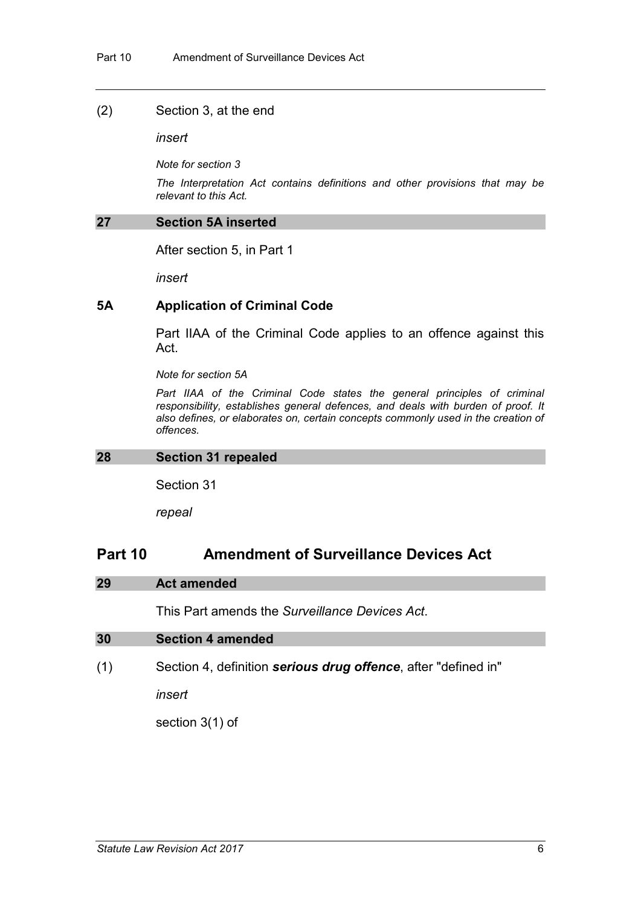#### (2) Section 3, at the end

*insert*

*Note for section 3*

*The Interpretation Act contains definitions and other provisions that may be relevant to this Act.*

#### **27 Section 5A inserted**

After section 5, in Part 1

*insert*

#### **5A Application of Criminal Code**

Part IIAA of the Criminal Code applies to an offence against this Act.

*Note for section 5A*

Part IIAA of the Criminal Code states the general principles of criminal *responsibility, establishes general defences, and deals with burden of proof. It also defines, or elaborates on, certain concepts commonly used in the creation of offences.*

#### **28 Section 31 repealed**

Section 31

*repeal*

## **Part 10 Amendment of Surveillance Devices Act**

#### **29 Act amended**

This Part amends the *Surveillance Devices Act*.

#### **30 Section 4 amended**

(1) Section 4, definition *serious drug offence*, after "defined in"

*insert*

section 3(1) of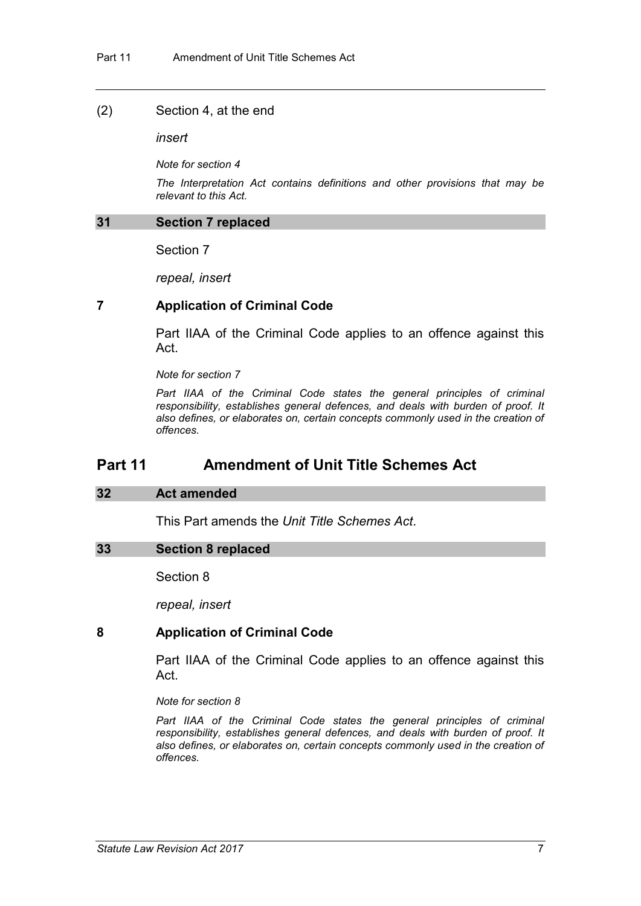#### (2) Section 4, at the end

*insert*

*Note for section 4*

*The Interpretation Act contains definitions and other provisions that may be relevant to this Act.*

#### **31 Section 7 replaced**

Section 7

*repeal, insert*

#### **7 Application of Criminal Code**

Part IIAA of the Criminal Code applies to an offence against this Act.

*Note for section 7*

Part IIAA of the Criminal Code states the general principles of criminal *responsibility, establishes general defences, and deals with burden of proof. It also defines, or elaborates on, certain concepts commonly used in the creation of offences.*

## **Part 11 Amendment of Unit Title Schemes Act**

#### **32 Act amended**

This Part amends the *Unit Title Schemes Act*.

#### **33 Section 8 replaced**

Section 8

*repeal, insert*

#### **8 Application of Criminal Code**

Part IIAA of the Criminal Code applies to an offence against this Act.

*Note for section 8*

Part IIAA of the Criminal Code states the general principles of criminal *responsibility, establishes general defences, and deals with burden of proof. It also defines, or elaborates on, certain concepts commonly used in the creation of offences.*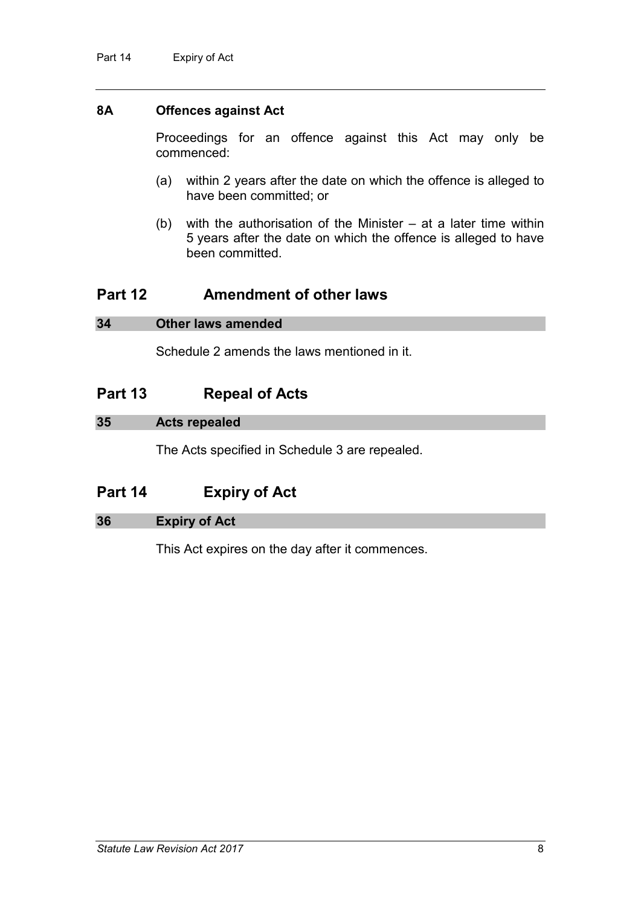#### **8A Offences against Act**

Proceedings for an offence against this Act may only be commenced:

- (a) within 2 years after the date on which the offence is alleged to have been committed; or
- (b) with the authorisation of the Minister at a later time within 5 years after the date on which the offence is alleged to have been committed.

## **Part 12 Amendment of other laws**

#### **34 Other laws amended**

Schedule 2 amends the laws mentioned in it.

## **Part 13 Repeal of Acts**

#### **35 Acts repealed**

The Acts specified in Schedule 3 are repealed.

## **Part 14 Expiry of Act**

#### **36 Expiry of Act**

This Act expires on the day after it commences.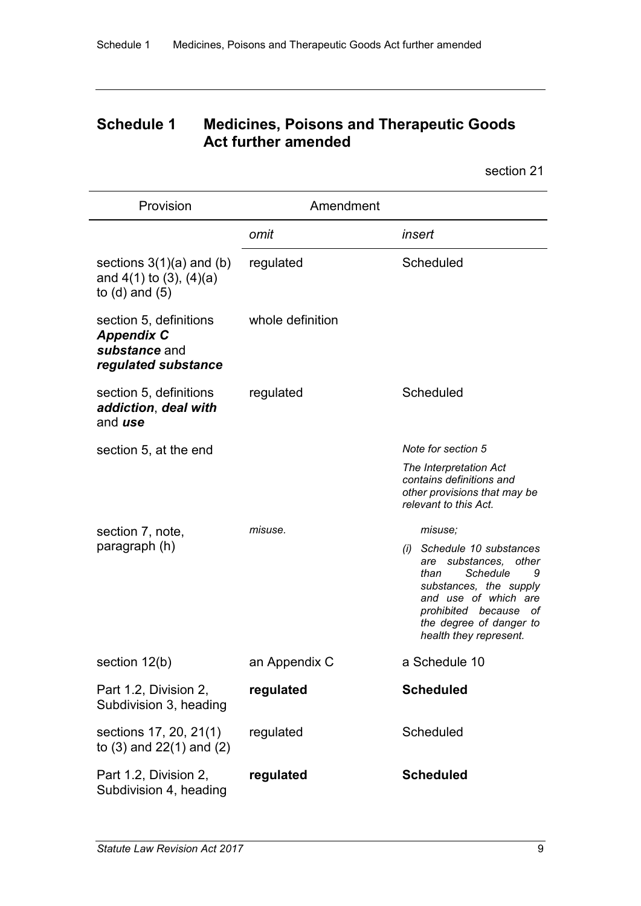## **Schedule 1 Medicines, Poisons and Therapeutic Goods Act further amended**

section 21

| Provision                                                                            | Amendment        |                                                                                                                                                                                                                           |  |
|--------------------------------------------------------------------------------------|------------------|---------------------------------------------------------------------------------------------------------------------------------------------------------------------------------------------------------------------------|--|
|                                                                                      | omit             | insert                                                                                                                                                                                                                    |  |
| sections $3(1)(a)$ and $(b)$<br>and $4(1)$ to $(3)$ , $(4)(a)$<br>to $(d)$ and $(5)$ | regulated        | Scheduled                                                                                                                                                                                                                 |  |
| section 5, definitions<br><b>Appendix C</b><br>substance and<br>regulated substance  | whole definition |                                                                                                                                                                                                                           |  |
| section 5, definitions<br>addiction, deal with<br>and use                            | regulated        | Scheduled                                                                                                                                                                                                                 |  |
| section 5, at the end                                                                |                  | Note for section 5                                                                                                                                                                                                        |  |
|                                                                                      |                  | The Interpretation Act<br>contains definitions and<br>other provisions that may be<br>relevant to this Act.                                                                                                               |  |
| section 7, note,                                                                     | misuse.          | misuse;                                                                                                                                                                                                                   |  |
| paragraph (h)                                                                        |                  | Schedule 10 substances<br>(i)<br>are substances,<br>other<br><b>Schedule</b><br>9<br>than<br>substances, the supply<br>and use of which are<br>prohibited because of<br>the degree of danger to<br>health they represent. |  |
| section 12(b)                                                                        | an Appendix C    | a Schedule 10                                                                                                                                                                                                             |  |
| Part 1.2, Division 2,<br>Subdivision 3, heading                                      | regulated        | <b>Scheduled</b>                                                                                                                                                                                                          |  |
| sections 17, 20, 21(1)<br>to $(3)$ and $22(1)$ and $(2)$                             | regulated        | Scheduled                                                                                                                                                                                                                 |  |
| Part 1.2, Division 2,<br>Subdivision 4, heading                                      | regulated        | <b>Scheduled</b>                                                                                                                                                                                                          |  |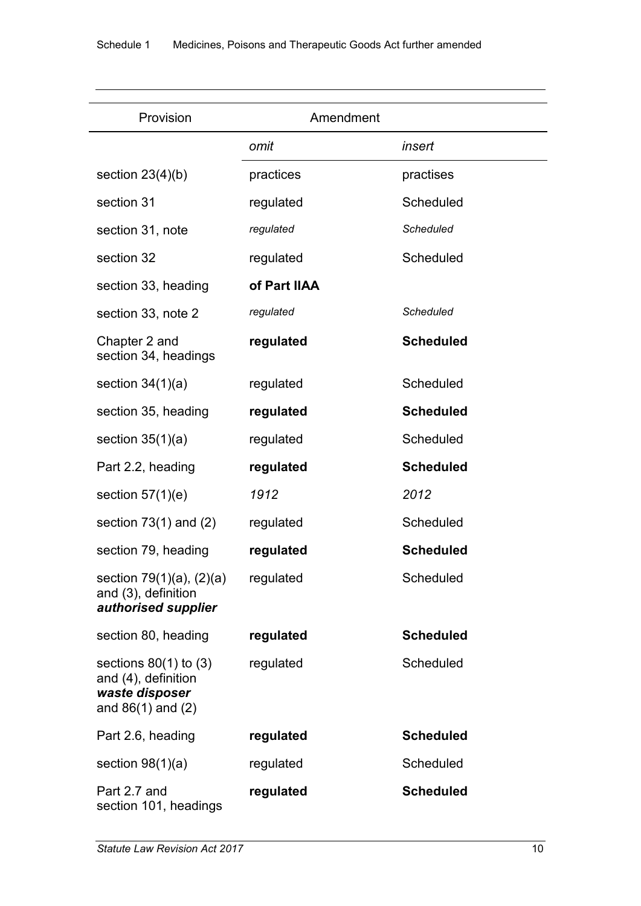| Provision                                                                                   | Amendment    |                  |
|---------------------------------------------------------------------------------------------|--------------|------------------|
|                                                                                             | omit         | insert           |
| section $23(4)(b)$                                                                          | practices    | practises        |
| section 31                                                                                  | regulated    | Scheduled        |
| section 31, note                                                                            | regulated    | <b>Scheduled</b> |
| section 32                                                                                  | regulated    | Scheduled        |
| section 33, heading                                                                         | of Part IIAA |                  |
| section 33, note 2                                                                          | regulated    | <b>Scheduled</b> |
| Chapter 2 and<br>section 34, headings                                                       | regulated    | <b>Scheduled</b> |
| section $34(1)(a)$                                                                          | regulated    | Scheduled        |
| section 35, heading                                                                         | regulated    | <b>Scheduled</b> |
| section $35(1)(a)$                                                                          | regulated    | Scheduled        |
| Part 2.2, heading                                                                           | regulated    | <b>Scheduled</b> |
| section $57(1)(e)$                                                                          | 1912         | 2012             |
| section $73(1)$ and $(2)$                                                                   | regulated    | Scheduled        |
| section 79, heading                                                                         | regulated    | <b>Scheduled</b> |
| section $79(1)(a)$ , $(2)(a)$<br>and (3), definition<br>authorised supplier                 | regulated    | Scheduled        |
| section 80, heading                                                                         | regulated    | <b>Scheduled</b> |
| sections $80(1)$ to $(3)$<br>and (4), definition<br>waste disposer<br>and $86(1)$ and $(2)$ | regulated    | Scheduled        |
| Part 2.6, heading                                                                           | regulated    | <b>Scheduled</b> |
| section $98(1)(a)$                                                                          | regulated    | Scheduled        |
| Part 2.7 and<br>section 101, headings                                                       | regulated    | <b>Scheduled</b> |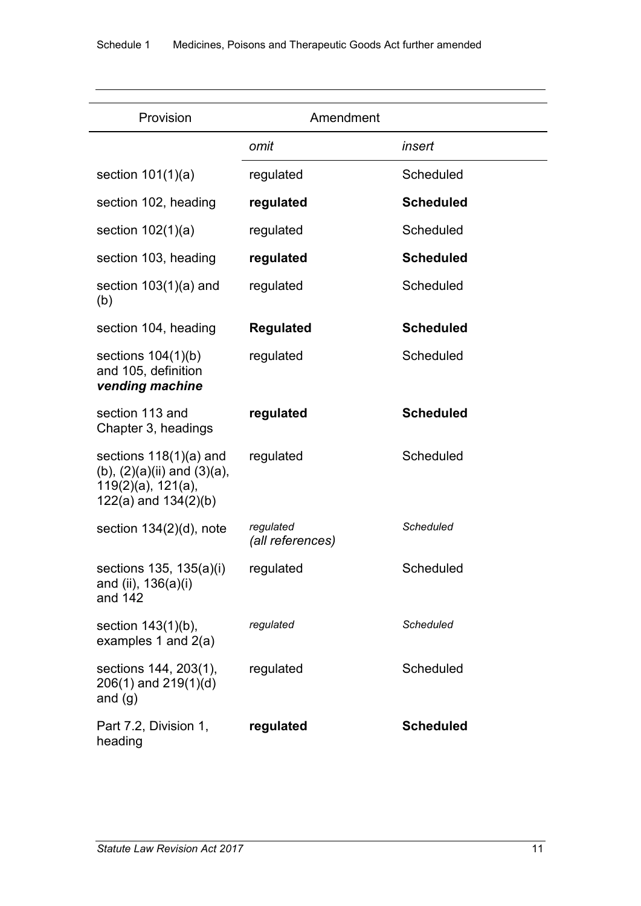| Provision                                                                                                      | Amendment                     |                  |
|----------------------------------------------------------------------------------------------------------------|-------------------------------|------------------|
|                                                                                                                | omit                          | insert           |
| section $101(1)(a)$                                                                                            | regulated                     | Scheduled        |
| section 102, heading                                                                                           | regulated                     | <b>Scheduled</b> |
| section $102(1)(a)$                                                                                            | regulated                     | Scheduled        |
| section 103, heading                                                                                           | regulated                     | <b>Scheduled</b> |
| section $103(1)(a)$ and<br>(b)                                                                                 | regulated                     | Scheduled        |
| section 104, heading                                                                                           | <b>Regulated</b>              | <b>Scheduled</b> |
| sections $104(1)(b)$<br>and 105, definition<br>vending machine                                                 | regulated                     | Scheduled        |
| section 113 and<br>Chapter 3, headings                                                                         | regulated                     | <b>Scheduled</b> |
| sections $118(1)(a)$ and<br>(b), $(2)(a)(ii)$ and $(3)(a)$ ,<br>119(2)(a), 121(a),<br>$122(a)$ and $134(2)(b)$ | regulated                     | Scheduled        |
| section $134(2)(d)$ , note                                                                                     | regulated<br>(all references) | <b>Scheduled</b> |
| sections 135, 135(a)(i)<br>and (ii), 136(a)(i)<br>and 142                                                      | regulated                     | Scheduled        |
| section 143(1)(b),<br>examples 1 and $2(a)$                                                                    | regulated                     | <b>Scheduled</b> |
| sections 144, 203(1),<br>$206(1)$ and $219(1)(d)$<br>and $(g)$                                                 | regulated                     | Scheduled        |
| Part 7.2, Division 1,<br>heading                                                                               | regulated                     | <b>Scheduled</b> |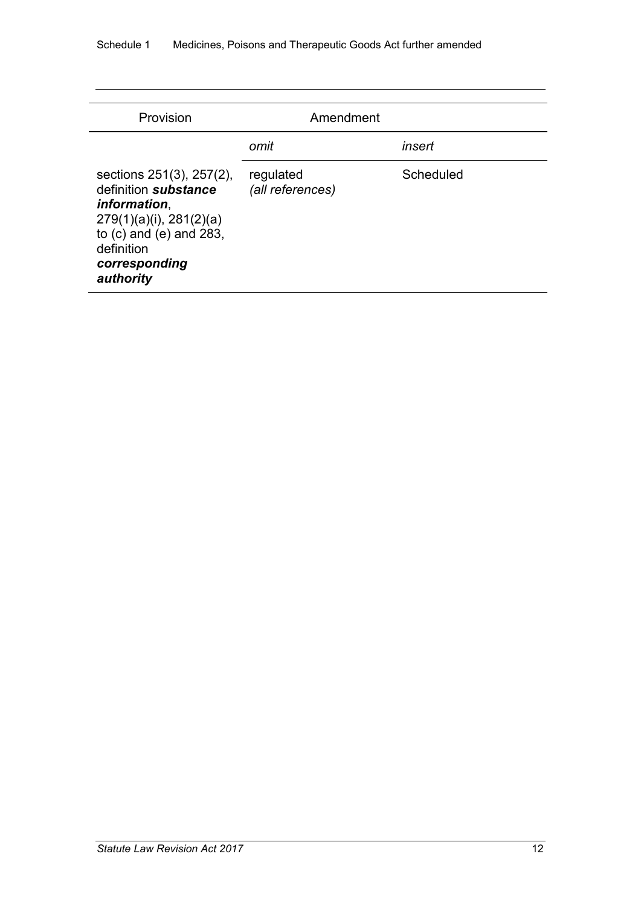| Provision                                                                                                                                                                          | Amendment                     |           |
|------------------------------------------------------------------------------------------------------------------------------------------------------------------------------------|-------------------------------|-----------|
|                                                                                                                                                                                    | omit                          | insert    |
| sections 251(3), 257(2),<br>definition substance<br><i>information,</i><br>$279(1)(a)(i)$ , $281(2)(a)$<br>to $(c)$ and $(e)$ and 283,<br>definition<br>corresponding<br>authority | regulated<br>(all references) | Scheduled |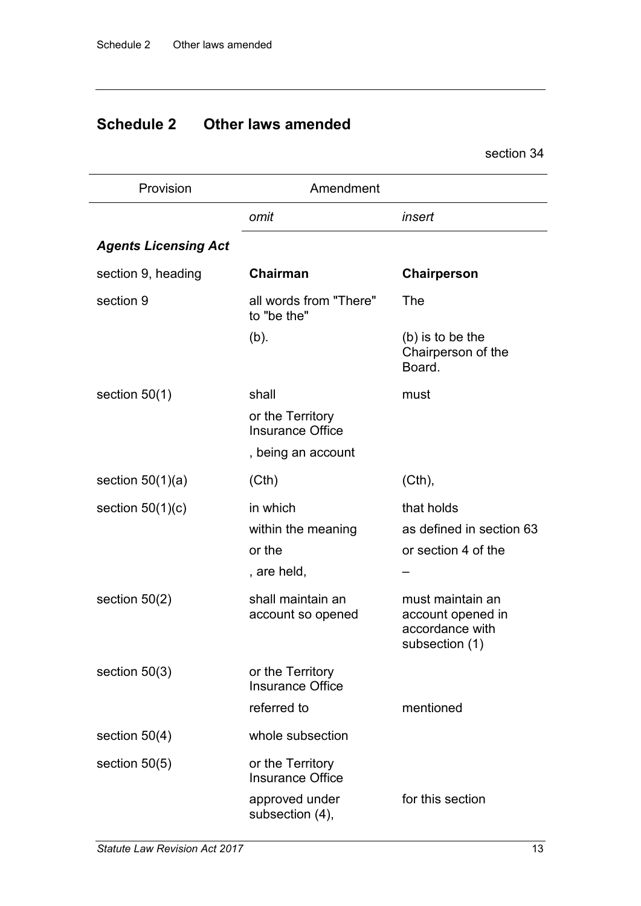## **Schedule 2 Other laws amended**

section 34

| Provision                   | Amendment                                                         |                                                                            |
|-----------------------------|-------------------------------------------------------------------|----------------------------------------------------------------------------|
|                             | omit                                                              | insert                                                                     |
| <b>Agents Licensing Act</b> |                                                                   |                                                                            |
| section 9, heading          | Chairman                                                          | <b>Chairperson</b>                                                         |
| section 9                   | all words from "There"<br>to "be the"                             | The                                                                        |
|                             | $(b)$ .                                                           | $(b)$ is to be the<br>Chairperson of the<br>Board.                         |
| section $50(1)$             | shall                                                             | must                                                                       |
|                             | or the Territory<br><b>Insurance Office</b><br>, being an account |                                                                            |
|                             |                                                                   |                                                                            |
| section $50(1)(a)$          | (Cth)                                                             | $(Cth)$ ,                                                                  |
| section $50(1)(c)$          | in which                                                          | that holds                                                                 |
|                             | within the meaning                                                | as defined in section 63                                                   |
|                             | or the                                                            | or section 4 of the                                                        |
|                             | , are held,                                                       |                                                                            |
| section $50(2)$             | shall maintain an<br>account so opened                            | must maintain an<br>account opened in<br>accordance with<br>subsection (1) |
| section $50(3)$             | or the Territory<br><b>Insurance Office</b>                       |                                                                            |
|                             | referred to                                                       | mentioned                                                                  |
| section $50(4)$             | whole subsection                                                  |                                                                            |
| section $50(5)$             | or the Territory<br><b>Insurance Office</b>                       |                                                                            |
|                             | approved under<br>subsection (4),                                 | for this section                                                           |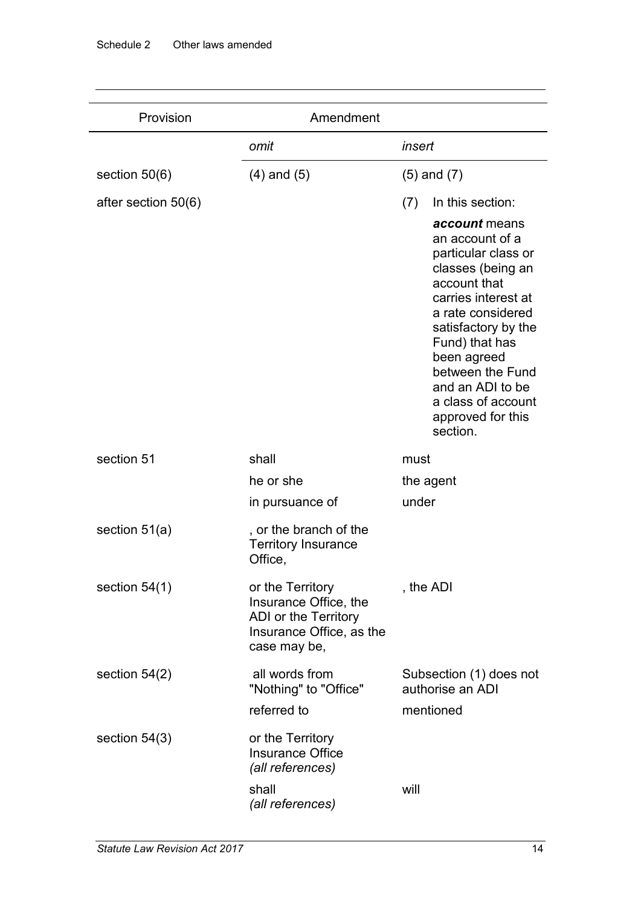| Provision           | Amendment                                                                                                     |                                                                                                                                                                                                                                                                                                 |
|---------------------|---------------------------------------------------------------------------------------------------------------|-------------------------------------------------------------------------------------------------------------------------------------------------------------------------------------------------------------------------------------------------------------------------------------------------|
|                     | omit                                                                                                          | insert                                                                                                                                                                                                                                                                                          |
| section $50(6)$     | $(4)$ and $(5)$                                                                                               | $(5)$ and $(7)$                                                                                                                                                                                                                                                                                 |
| after section 50(6) |                                                                                                               | In this section:<br>(7)                                                                                                                                                                                                                                                                         |
|                     |                                                                                                               | account means<br>an account of a<br>particular class or<br>classes (being an<br>account that<br>carries interest at<br>a rate considered<br>satisfactory by the<br>Fund) that has<br>been agreed<br>between the Fund<br>and an ADI to be<br>a class of account<br>approved for this<br>section. |
| section 51          | shall                                                                                                         | must                                                                                                                                                                                                                                                                                            |
|                     | he or she                                                                                                     | the agent                                                                                                                                                                                                                                                                                       |
|                     | in pursuance of                                                                                               | under                                                                                                                                                                                                                                                                                           |
| section $51(a)$     | , or the branch of the<br><b>Territory Insurance</b><br>Office,                                               |                                                                                                                                                                                                                                                                                                 |
| section $54(1)$     | or the Territory<br>Insurance Office, the<br>ADI or the Territory<br>Insurance Office, as the<br>case may be, | , the $ADI$                                                                                                                                                                                                                                                                                     |
| section $54(2)$     | all words from<br>"Nothing" to "Office"                                                                       | Subsection (1) does not<br>authorise an ADI                                                                                                                                                                                                                                                     |
|                     | referred to                                                                                                   | mentioned                                                                                                                                                                                                                                                                                       |
| section $54(3)$     | or the Territory<br><b>Insurance Office</b><br>(all references)                                               |                                                                                                                                                                                                                                                                                                 |
|                     | shall<br>(all references)                                                                                     | will                                                                                                                                                                                                                                                                                            |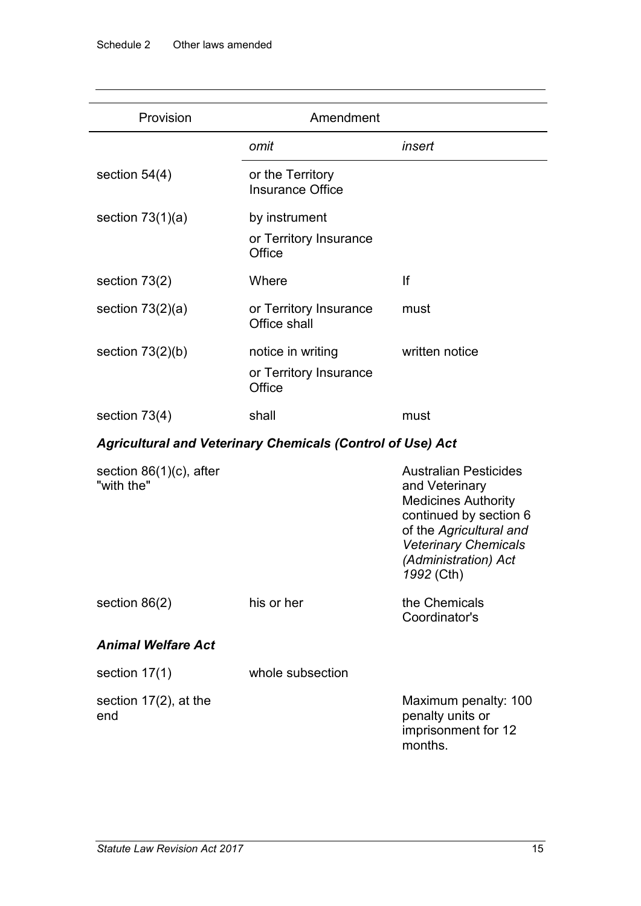| Provision                                                         | Amendment                                             |                |  |
|-------------------------------------------------------------------|-------------------------------------------------------|----------------|--|
|                                                                   | omit                                                  | insert         |  |
| section $54(4)$                                                   | or the Territory<br><b>Insurance Office</b>           |                |  |
| section $73(1)(a)$                                                | by instrument<br>or Territory Insurance<br>Office     |                |  |
| section $73(2)$                                                   | Where                                                 | lf             |  |
| section $73(2)(a)$                                                | or Territory Insurance<br>Office shall                | must           |  |
| section $73(2)(b)$                                                | notice in writing<br>or Territory Insurance<br>Office | written notice |  |
| section $73(4)$                                                   | shall                                                 | must           |  |
| <b>Agricultural and Veterinary Chemicals (Control of Use) Act</b> |                                                       |                |  |

| section $86(1)(c)$ , after<br>"with the" |                  | Australian Pesticides<br>and Veterinary<br><b>Medicines Authority</b><br>continued by section 6<br>of the Agricultural and<br><b>Veterinary Chemicals</b><br>(Administration) Act<br>1992 (Cth) |
|------------------------------------------|------------------|-------------------------------------------------------------------------------------------------------------------------------------------------------------------------------------------------|
| section $86(2)$                          | his or her       | the Chemicals<br>Coordinator's                                                                                                                                                                  |
| <b>Animal Welfare Act</b>                |                  |                                                                                                                                                                                                 |
| section $17(1)$                          | whole subsection |                                                                                                                                                                                                 |
| section $17(2)$ , at the<br>end          |                  | Maximum penalty: 100<br>penalty units or<br>imprisonment for 12<br>months.                                                                                                                      |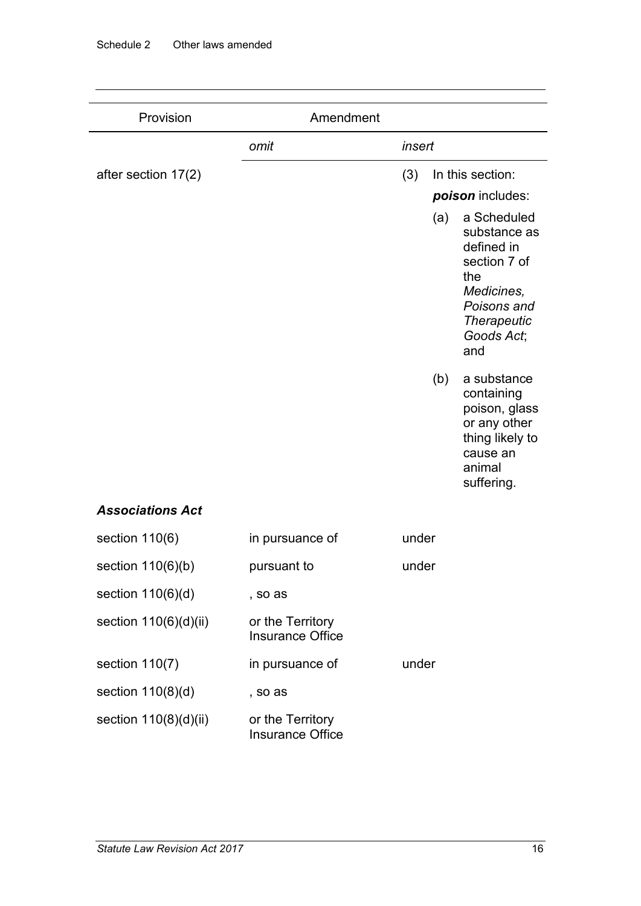| Provision               | Amendment       |        |     |                                                                                                                                          |
|-------------------------|-----------------|--------|-----|------------------------------------------------------------------------------------------------------------------------------------------|
|                         | omit            | insert |     |                                                                                                                                          |
| after section 17(2)     |                 | (3)    |     | In this section:                                                                                                                         |
|                         |                 |        |     | poison includes:                                                                                                                         |
|                         |                 |        | (a) | a Scheduled<br>substance as<br>defined in<br>section 7 of<br>the<br>Medicines,<br>Poisons and<br><b>Therapeutic</b><br>Goods Act;<br>and |
|                         |                 |        | (b) | a substance<br>containing<br>poison, glass<br>or any other<br>thing likely to<br>cause an<br>animal<br>suffering.                        |
| <b>Associations Act</b> |                 |        |     |                                                                                                                                          |
| cootion $110(R)$        | in nurougnon of | indor  |     |                                                                                                                                          |

| section $110(6)$        | in pursuance of                             | under |
|-------------------------|---------------------------------------------|-------|
| section $110(6)(b)$     | pursuant to                                 | under |
| section $110(6)(d)$     | , so as                                     |       |
| section $110(6)(d)(ii)$ | or the Territory<br><b>Insurance Office</b> |       |
| section $110(7)$        | in pursuance of                             | under |
| section $110(8)(d)$     | , so as                                     |       |
| section $110(8)(d)(ii)$ | or the Territory<br><b>Insurance Office</b> |       |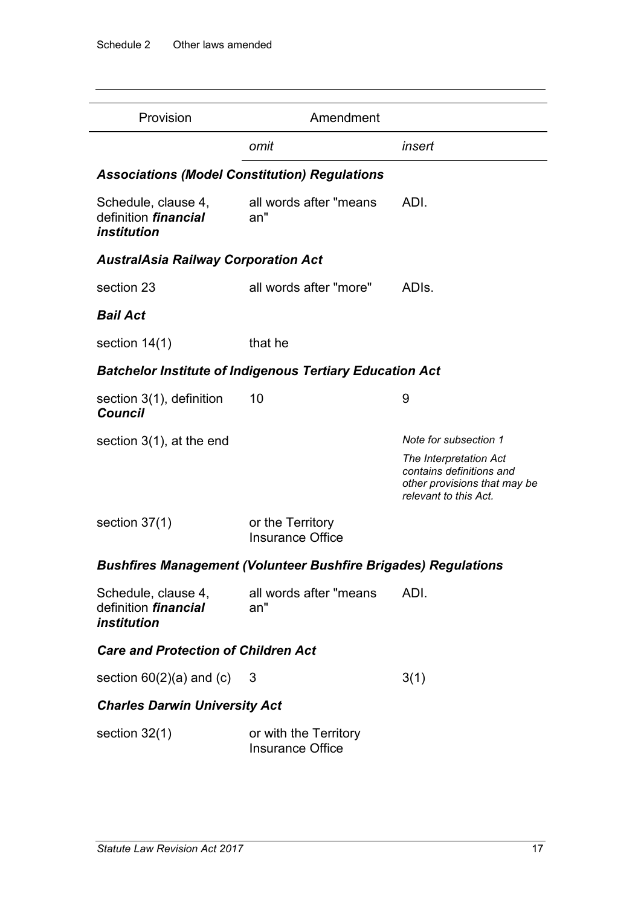| Provision                                                         | Amendment                                                             |                                                                                                             |
|-------------------------------------------------------------------|-----------------------------------------------------------------------|-------------------------------------------------------------------------------------------------------------|
|                                                                   | omit                                                                  | insert                                                                                                      |
|                                                                   | <b>Associations (Model Constitution) Regulations</b>                  |                                                                                                             |
| Schedule, clause 4,<br>definition <i>financial</i><br>institution | all words after "means"<br>an"                                        | ADI.                                                                                                        |
| <b>AustralAsia Railway Corporation Act</b>                        |                                                                       |                                                                                                             |
| section 23                                                        | all words after "more"                                                | ADIS.                                                                                                       |
| <b>Bail Act</b>                                                   |                                                                       |                                                                                                             |
| section $14(1)$                                                   | that he                                                               |                                                                                                             |
|                                                                   | <b>Batchelor Institute of Indigenous Tertiary Education Act</b>       |                                                                                                             |
| section 3(1), definition<br><b>Council</b>                        | 10                                                                    | 9                                                                                                           |
| section $3(1)$ , at the end                                       |                                                                       | Note for subsection 1                                                                                       |
|                                                                   |                                                                       | The Interpretation Act<br>contains definitions and<br>other provisions that may be<br>relevant to this Act. |
| section $37(1)$                                                   | or the Territory<br><b>Insurance Office</b>                           |                                                                                                             |
|                                                                   | <b>Bushfires Management (Volunteer Bushfire Brigades) Regulations</b> |                                                                                                             |
| definition <i>financial</i><br>institution                        | Schedule, clause 4, all words after "means"<br>an"                    | ADI.                                                                                                        |
| <b>Care and Protection of Children Act</b>                        |                                                                       |                                                                                                             |
| section $60(2)(a)$ and $(c)$                                      | 3                                                                     | 3(1)                                                                                                        |
| <b>Charles Darwin University Act</b>                              |                                                                       |                                                                                                             |
| section $32(1)$                                                   | or with the Territory<br><b>Insurance Office</b>                      |                                                                                                             |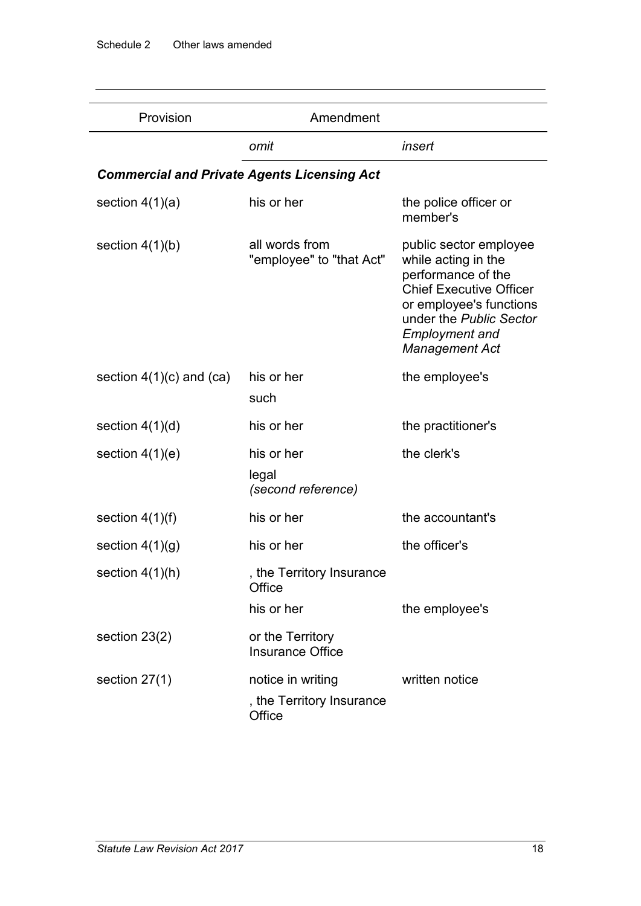| Provision                                          | Amendment                                                |                                                                                                                                                                                                               |
|----------------------------------------------------|----------------------------------------------------------|---------------------------------------------------------------------------------------------------------------------------------------------------------------------------------------------------------------|
|                                                    | omit                                                     | insert                                                                                                                                                                                                        |
| <b>Commercial and Private Agents Licensing Act</b> |                                                          |                                                                                                                                                                                                               |
| section $4(1)(a)$                                  | his or her                                               | the police officer or<br>member's                                                                                                                                                                             |
| section $4(1)(b)$                                  | all words from<br>"employee" to "that Act"               | public sector employee<br>while acting in the<br>performance of the<br><b>Chief Executive Officer</b><br>or employee's functions<br>under the Public Sector<br><b>Employment and</b><br><b>Management Act</b> |
| section $4(1)(c)$ and $(ca)$                       | his or her<br>such                                       | the employee's                                                                                                                                                                                                |
| section $4(1)(d)$                                  | his or her                                               | the practitioner's                                                                                                                                                                                            |
| section $4(1)(e)$                                  | his or her                                               | the clerk's                                                                                                                                                                                                   |
|                                                    | legal<br>(second reference)                              |                                                                                                                                                                                                               |
| section $4(1)(f)$                                  | his or her                                               | the accountant's                                                                                                                                                                                              |
| section $4(1)(g)$                                  | his or her                                               | the officer's                                                                                                                                                                                                 |
| section $4(1)(h)$                                  | , the Territory Insurance<br>Office                      |                                                                                                                                                                                                               |
|                                                    | his or her                                               | the employee's                                                                                                                                                                                                |
| section $23(2)$                                    | or the Territory<br><b>Insurance Office</b>              |                                                                                                                                                                                                               |
| section $27(1)$                                    | notice in writing<br>, the Territory Insurance<br>Office | written notice                                                                                                                                                                                                |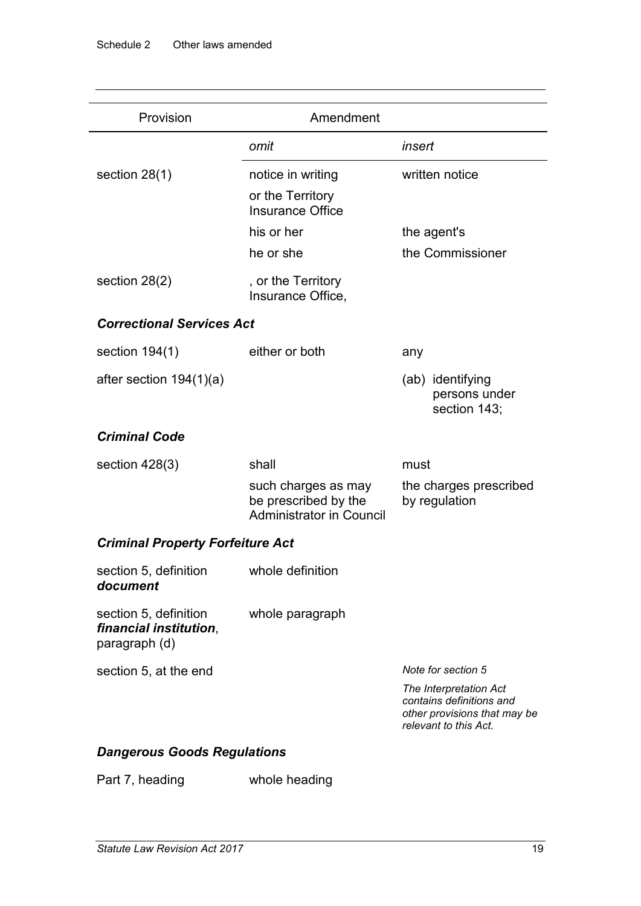| Provision                                                        | Amendment                                                                      |                                                                                                             |
|------------------------------------------------------------------|--------------------------------------------------------------------------------|-------------------------------------------------------------------------------------------------------------|
|                                                                  | omit                                                                           | insert                                                                                                      |
| section $28(1)$                                                  | notice in writing                                                              | written notice                                                                                              |
|                                                                  | or the Territory<br><b>Insurance Office</b>                                    |                                                                                                             |
|                                                                  | his or her                                                                     | the agent's                                                                                                 |
|                                                                  | he or she                                                                      | the Commissioner                                                                                            |
| section $28(2)$                                                  | , or the Territory<br>Insurance Office,                                        |                                                                                                             |
| <b>Correctional Services Act</b>                                 |                                                                                |                                                                                                             |
| section $194(1)$                                                 | either or both                                                                 | any                                                                                                         |
| after section $194(1)(a)$                                        |                                                                                | (ab) identifying<br>persons under<br>section 143;                                                           |
| <b>Criminal Code</b>                                             |                                                                                |                                                                                                             |
| section $428(3)$                                                 | shall                                                                          | must                                                                                                        |
|                                                                  | such charges as may<br>be prescribed by the<br><b>Administrator in Council</b> | the charges prescribed<br>by regulation                                                                     |
| <b>Criminal Property Forfeiture Act</b>                          |                                                                                |                                                                                                             |
| section 5, definition<br>document                                | whole definition                                                               |                                                                                                             |
| section 5, definition<br>financial institution,<br>paragraph (d) | whole paragraph                                                                |                                                                                                             |
| section 5, at the end                                            |                                                                                | Note for section 5                                                                                          |
|                                                                  |                                                                                | The Interpretation Act<br>contains definitions and<br>other provisions that may be<br>relevant to this Act. |
| <b>Dangerous Goods Regulations</b>                               |                                                                                |                                                                                                             |

Part 7, heading whole heading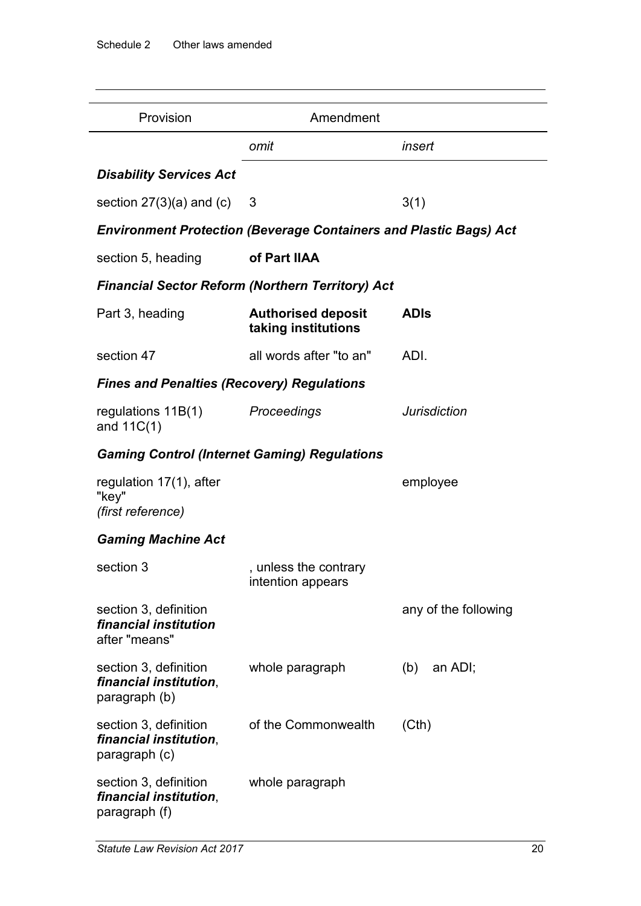| Provision                                                                | Amendment                                               |                      |
|--------------------------------------------------------------------------|---------------------------------------------------------|----------------------|
|                                                                          | omit                                                    | insert               |
| <b>Disability Services Act</b>                                           |                                                         |                      |
| section $27(3)(a)$ and (c) 3                                             |                                                         | 3(1)                 |
| <b>Environment Protection (Beverage Containers and Plastic Bags) Act</b> |                                                         |                      |
| section 5, heading                                                       | of Part IIAA                                            |                      |
|                                                                          | <b>Financial Sector Reform (Northern Territory) Act</b> |                      |
| Part 3, heading                                                          | <b>Authorised deposit</b><br>taking institutions        | <b>ADIS</b>          |
| section 47                                                               | all words after "to an"                                 | ADI.                 |
| <b>Fines and Penalties (Recovery) Regulations</b>                        |                                                         |                      |
| regulations $11B(1)$<br>and 11C(1)                                       | Proceedings                                             | <b>Jurisdiction</b>  |
|                                                                          | <b>Gaming Control (Internet Gaming) Regulations</b>     |                      |
| regulation 17(1), after<br>"key"<br>(first reference)                    |                                                         | employee             |
| <b>Gaming Machine Act</b>                                                |                                                         |                      |
| section 3                                                                | unless the contrary<br>intention appears                |                      |
| section 3, definition<br>financial institution<br>after "means"          |                                                         | any of the following |
| section 3, definition<br>financial institution,<br>paragraph (b)         | whole paragraph                                         | an ADI;<br>(b)       |
| section 3, definition<br>financial institution,<br>paragraph (c)         | of the Commonwealth                                     | (Cth)                |
| section 3, definition<br>financial institution,<br>paragraph (f)         | whole paragraph                                         |                      |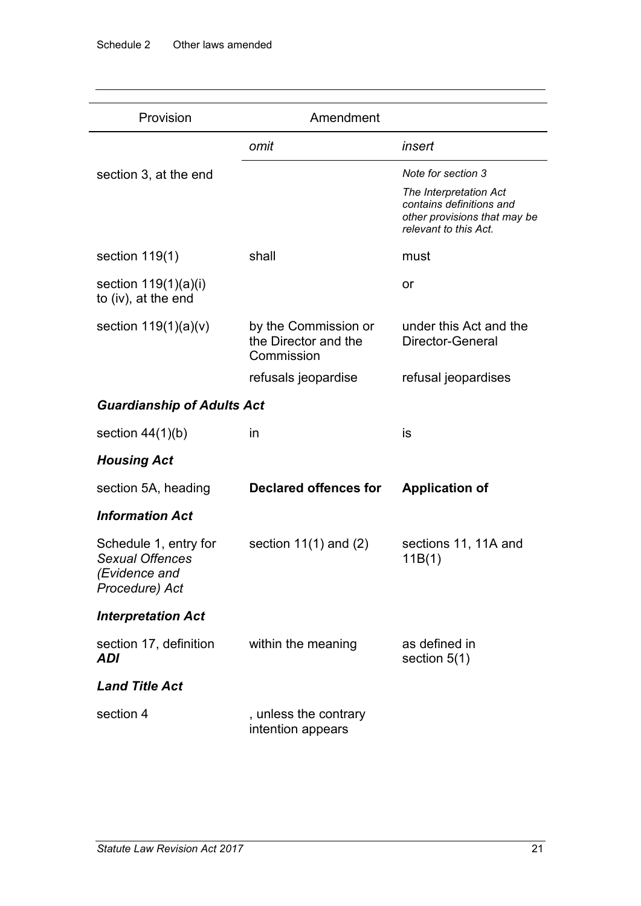| Provision                                                                          | Amendment                                                  |                                                                                                             |
|------------------------------------------------------------------------------------|------------------------------------------------------------|-------------------------------------------------------------------------------------------------------------|
|                                                                                    | omit                                                       | insert                                                                                                      |
| section 3, at the end                                                              |                                                            | Note for section 3                                                                                          |
|                                                                                    |                                                            | The Interpretation Act<br>contains definitions and<br>other provisions that may be<br>relevant to this Act. |
| section $119(1)$                                                                   | shall                                                      | must                                                                                                        |
| section $119(1)(a)(i)$<br>to (iv), at the end                                      |                                                            | or                                                                                                          |
| section $119(1)(a)(v)$                                                             | by the Commission or<br>the Director and the<br>Commission | under this Act and the<br><b>Director-General</b>                                                           |
|                                                                                    | refusals jeopardise                                        | refusal jeopardises                                                                                         |
| <b>Guardianship of Adults Act</b>                                                  |                                                            |                                                                                                             |
| section $44(1)(b)$                                                                 | in                                                         | is                                                                                                          |
| <b>Housing Act</b>                                                                 |                                                            |                                                                                                             |
| section 5A, heading                                                                | Declared offences for                                      | <b>Application of</b>                                                                                       |
| <b>Information Act</b>                                                             |                                                            |                                                                                                             |
| Schedule 1, entry for<br><b>Sexual Offences</b><br>(Evidence and<br>Procedure) Act | section $11(1)$ and $(2)$                                  | sections 11, 11A and<br>11B(1)                                                                              |
| <b>Interpretation Act</b>                                                          |                                                            |                                                                                                             |
| section 17, definition<br>ADI                                                      | within the meaning                                         | as defined in<br>section $5(1)$                                                                             |
| <b>Land Title Act</b>                                                              |                                                            |                                                                                                             |
| section 4                                                                          | , unless the contrary<br>intention appears                 |                                                                                                             |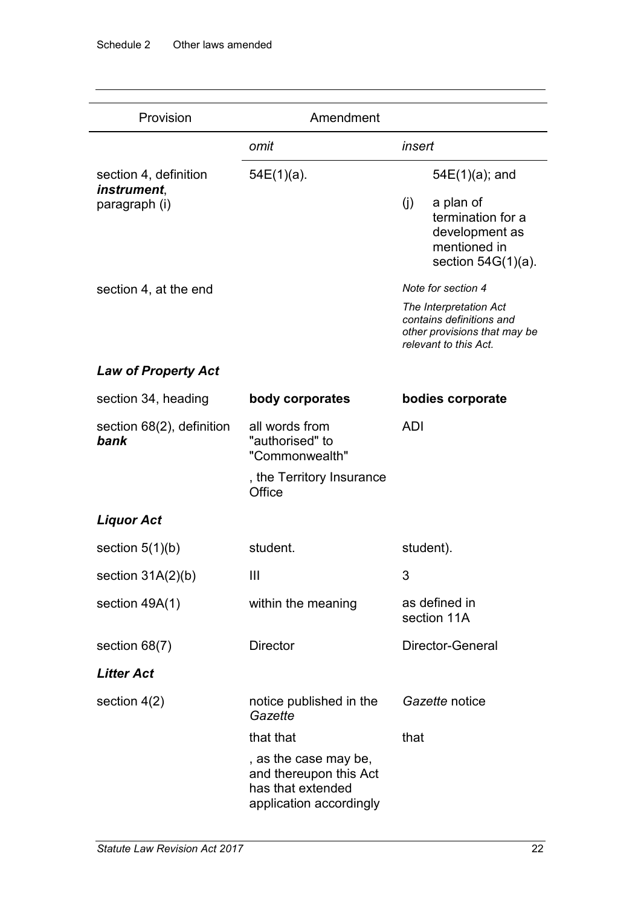| Provision                         | Amendment                                                                                       |                                                                                                             |
|-----------------------------------|-------------------------------------------------------------------------------------------------|-------------------------------------------------------------------------------------------------------------|
|                                   | omit                                                                                            | insert                                                                                                      |
| section 4, definition             | $54E(1)(a)$ .                                                                                   | $54E(1)(a)$ ; and                                                                                           |
| instrument,<br>paragraph (i)      |                                                                                                 | (j)<br>a plan of<br>termination for a<br>development as<br>mentioned in<br>section $54G(1)(a)$ .            |
| section 4, at the end             |                                                                                                 | Note for section 4                                                                                          |
|                                   |                                                                                                 | The Interpretation Act<br>contains definitions and<br>other provisions that may be<br>relevant to this Act. |
| <b>Law of Property Act</b>        |                                                                                                 |                                                                                                             |
| section 34, heading               | body corporates                                                                                 | bodies corporate                                                                                            |
| section 68(2), definition<br>bank | all words from<br>"authorised" to<br>"Commonwealth"                                             | <b>ADI</b>                                                                                                  |
|                                   | , the Territory Insurance<br>Office                                                             |                                                                                                             |
| <b>Liquor Act</b>                 |                                                                                                 |                                                                                                             |
| section $5(1)(b)$                 | student.                                                                                        | student).                                                                                                   |
| section 31A(2)(b)                 | $\mathbf{III}$                                                                                  | ົ<br>J                                                                                                      |
| section 49A(1)                    | within the meaning                                                                              | as defined in<br>section 11A                                                                                |
| section $68(7)$                   | <b>Director</b>                                                                                 | Director-General                                                                                            |
| <b>Litter Act</b>                 |                                                                                                 |                                                                                                             |
| section $4(2)$                    | notice published in the<br>Gazette                                                              | Gazette notice                                                                                              |
|                                   | that that                                                                                       | that                                                                                                        |
|                                   | , as the case may be,<br>and thereupon this Act<br>has that extended<br>application accordingly |                                                                                                             |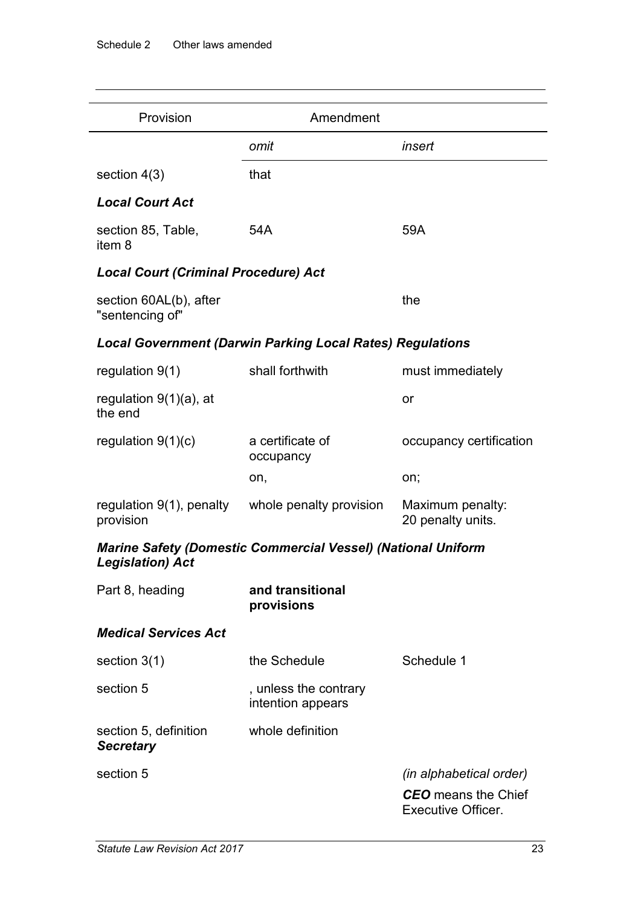| Provision                                   | Amendment                                                           |                                                         |
|---------------------------------------------|---------------------------------------------------------------------|---------------------------------------------------------|
|                                             | omit                                                                | insert                                                  |
| section $4(3)$                              | that                                                                |                                                         |
| <b>Local Court Act</b>                      |                                                                     |                                                         |
| section 85, Table,<br>item 8                | 54A                                                                 | 59A                                                     |
| <b>Local Court (Criminal Procedure) Act</b> |                                                                     |                                                         |
| section 60AL(b), after<br>"sentencing of"   |                                                                     | the                                                     |
|                                             | <b>Local Government (Darwin Parking Local Rates) Regulations</b>    |                                                         |
| regulation $9(1)$                           | shall forthwith                                                     | must immediately                                        |
| regulation $9(1)(a)$ , at<br>the end        |                                                                     | or                                                      |
| regulation $9(1)(c)$                        | a certificate of<br>occupancy                                       | occupancy certification                                 |
|                                             | on,                                                                 | on;                                                     |
| regulation 9(1), penalty<br>provision       | whole penalty provision                                             | Maximum penalty:<br>20 penalty units.                   |
| <b>Legislation</b> ) Act                    | <b>Marine Safety (Domestic Commercial Vessel) (National Uniform</b> |                                                         |
| Part 8, heading                             | and transitional<br>provisions                                      |                                                         |
| <b>Medical Services Act</b>                 |                                                                     |                                                         |
| section $3(1)$                              | the Schedule                                                        | Schedule 1                                              |
| section 5                                   | , unless the contrary<br>intention appears                          |                                                         |
| section 5, definition<br><b>Secretary</b>   | whole definition                                                    |                                                         |
| section 5                                   |                                                                     | <i>(in alphabetical order)</i>                          |
|                                             |                                                                     | <b>CEO</b> means the Chief<br><b>Executive Officer.</b> |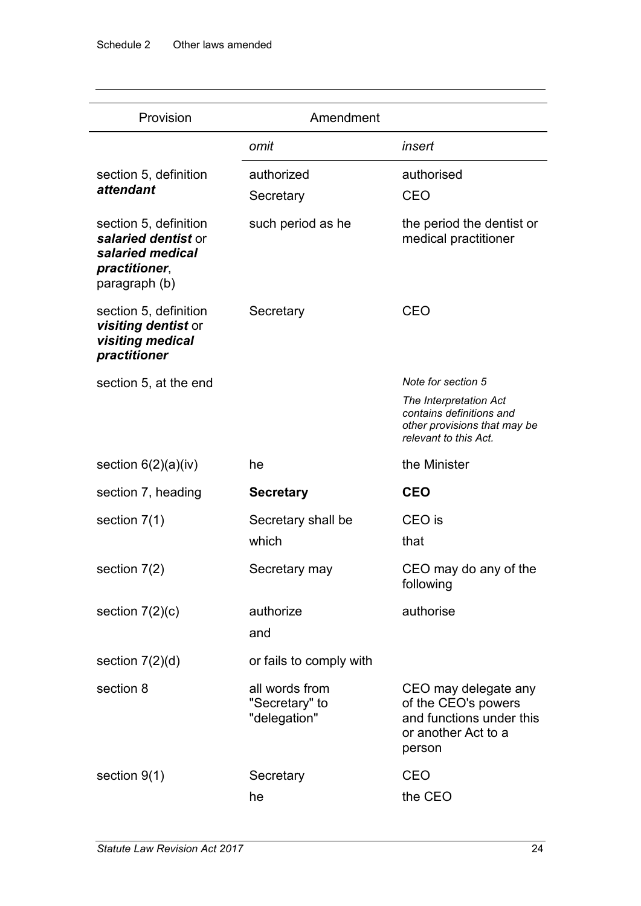| Provision                                                                                          | Amendment                                        |                                                                                                             |
|----------------------------------------------------------------------------------------------------|--------------------------------------------------|-------------------------------------------------------------------------------------------------------------|
|                                                                                                    | omit                                             | insert                                                                                                      |
| section 5, definition                                                                              | authorized                                       | authorised                                                                                                  |
| <i>attendant</i>                                                                                   | Secretary                                        | <b>CEO</b>                                                                                                  |
| section 5, definition<br>salaried dentist or<br>salaried medical<br>practitioner,<br>paragraph (b) | such period as he                                | the period the dentist or<br>medical practitioner                                                           |
| section 5, definition<br>visiting dentist or<br>visiting medical<br>practitioner                   | Secretary                                        | <b>CEO</b>                                                                                                  |
| section 5, at the end                                                                              |                                                  | Note for section 5                                                                                          |
|                                                                                                    |                                                  | The Interpretation Act<br>contains definitions and<br>other provisions that may be<br>relevant to this Act. |
|                                                                                                    |                                                  |                                                                                                             |
| section $6(2)(a)(iv)$                                                                              | he                                               | the Minister                                                                                                |
| section 7, heading                                                                                 | <b>Secretary</b>                                 | <b>CEO</b>                                                                                                  |
| section $7(1)$                                                                                     | Secretary shall be                               | CEO is                                                                                                      |
|                                                                                                    | which                                            | that                                                                                                        |
| section 7(2)                                                                                       | Secretary may                                    | CEO may do any of the<br>following                                                                          |
| section $7(2)(c)$                                                                                  | authorize                                        | authorise                                                                                                   |
|                                                                                                    | and                                              |                                                                                                             |
| section $7(2)(d)$                                                                                  | or fails to comply with                          |                                                                                                             |
| section 8                                                                                          | all words from<br>"Secretary" to<br>"delegation" | CEO may delegate any<br>of the CEO's powers<br>and functions under this<br>or another Act to a<br>person    |
| section 9(1)                                                                                       | Secretary                                        | <b>CEO</b>                                                                                                  |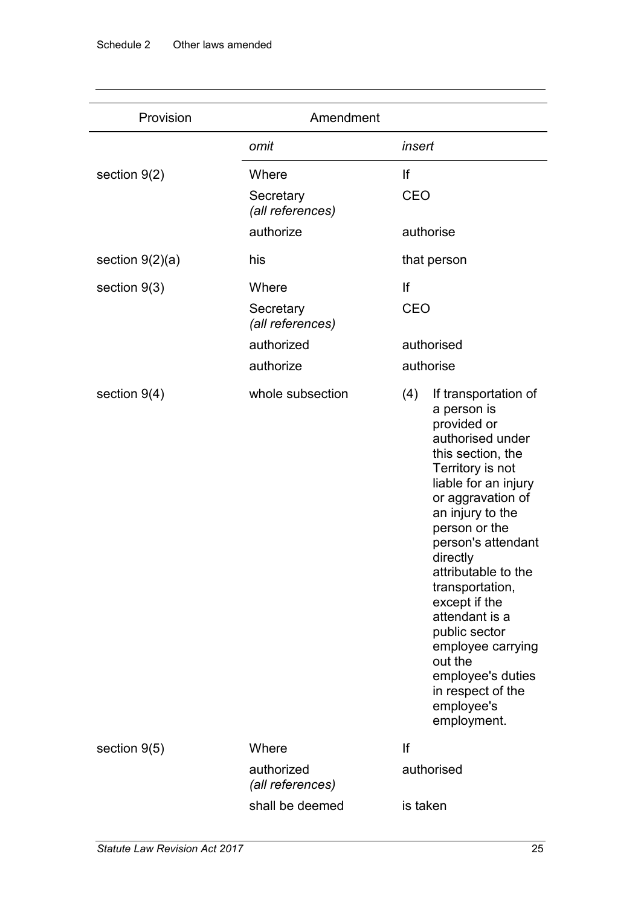| Provision         | Amendment                              |                                                                                                                                                                                                                                                                                                                                                                                                                                                 |
|-------------------|----------------------------------------|-------------------------------------------------------------------------------------------------------------------------------------------------------------------------------------------------------------------------------------------------------------------------------------------------------------------------------------------------------------------------------------------------------------------------------------------------|
|                   | omit                                   | insert                                                                                                                                                                                                                                                                                                                                                                                                                                          |
| section $9(2)$    | Where<br>Secretary<br>(all references) | lf<br><b>CEO</b>                                                                                                                                                                                                                                                                                                                                                                                                                                |
|                   | authorize                              | authorise                                                                                                                                                                                                                                                                                                                                                                                                                                       |
| section $9(2)(a)$ | his                                    | that person                                                                                                                                                                                                                                                                                                                                                                                                                                     |
| section $9(3)$    | Where                                  | lf                                                                                                                                                                                                                                                                                                                                                                                                                                              |
|                   | Secretary<br>(all references)          | <b>CEO</b>                                                                                                                                                                                                                                                                                                                                                                                                                                      |
|                   | authorized                             | authorised                                                                                                                                                                                                                                                                                                                                                                                                                                      |
|                   | authorize                              | authorise                                                                                                                                                                                                                                                                                                                                                                                                                                       |
| section $9(4)$    | whole subsection                       | (4)<br>If transportation of<br>a person is<br>provided or<br>authorised under<br>this section, the<br>Territory is not<br>liable for an injury<br>or aggravation of<br>an injury to the<br>person or the<br>person's attendant<br>directly<br>attributable to the<br>transportation,<br>except if the<br>attendant is a<br>public sector<br>employee carrying<br>out the<br>employee's duties<br>in respect of the<br>employee's<br>employment. |
| section $9(5)$    | Where                                  | lf                                                                                                                                                                                                                                                                                                                                                                                                                                              |
|                   | authorized<br>(all references)         | authorised                                                                                                                                                                                                                                                                                                                                                                                                                                      |
|                   | shall be deemed                        | is taken                                                                                                                                                                                                                                                                                                                                                                                                                                        |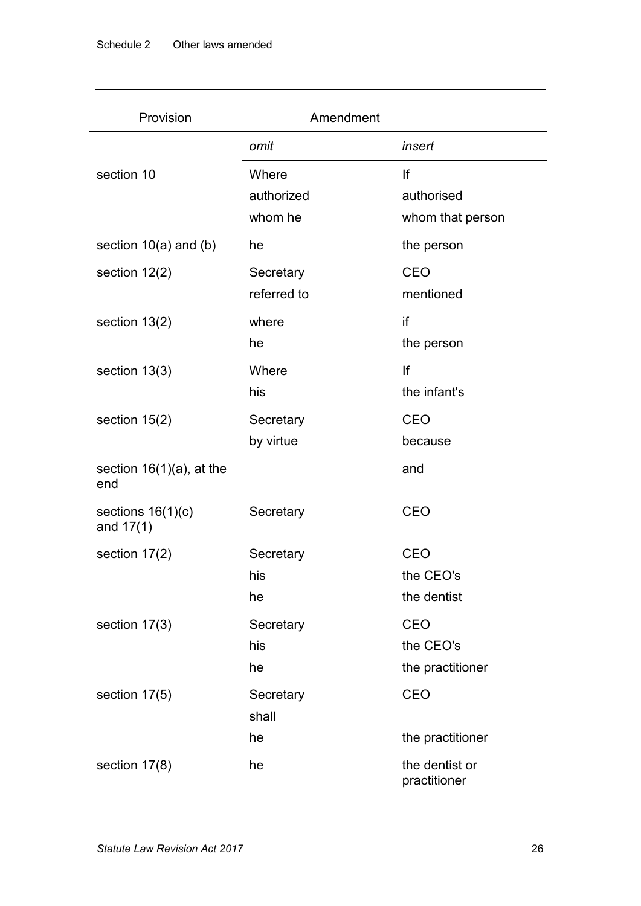| Provision                          | Amendment   |                                |
|------------------------------------|-------------|--------------------------------|
|                                    | omit        | insert                         |
| section 10                         | Where       | f                              |
|                                    | authorized  | authorised                     |
|                                    | whom he     | whom that person               |
| section $10(a)$ and (b)            | he          | the person                     |
| section $12(2)$                    | Secretary   | <b>CEO</b>                     |
|                                    | referred to | mentioned                      |
| section $13(2)$                    | where       | if                             |
|                                    | he          | the person                     |
| section $13(3)$                    | Where       | If                             |
|                                    | his         | the infant's                   |
| section $15(2)$                    | Secretary   | <b>CEO</b>                     |
|                                    | by virtue   | because                        |
| section $16(1)(a)$ , at the<br>end |             | and                            |
| sections $16(1)(c)$<br>and $17(1)$ | Secretary   | <b>CEO</b>                     |
| section 17(2)                      | Secretary   | <b>CEO</b>                     |
|                                    | his         | the CEO's                      |
|                                    | he          | the dentist                    |
| section $17(3)$                    | Secretary   | <b>CEO</b>                     |
|                                    | his         | the CEO's                      |
|                                    | he          | the practitioner               |
| section 17(5)                      | Secretary   | CEO                            |
|                                    | shall       |                                |
|                                    | he          | the practitioner               |
| section $17(8)$                    | he          | the dentist or<br>practitioner |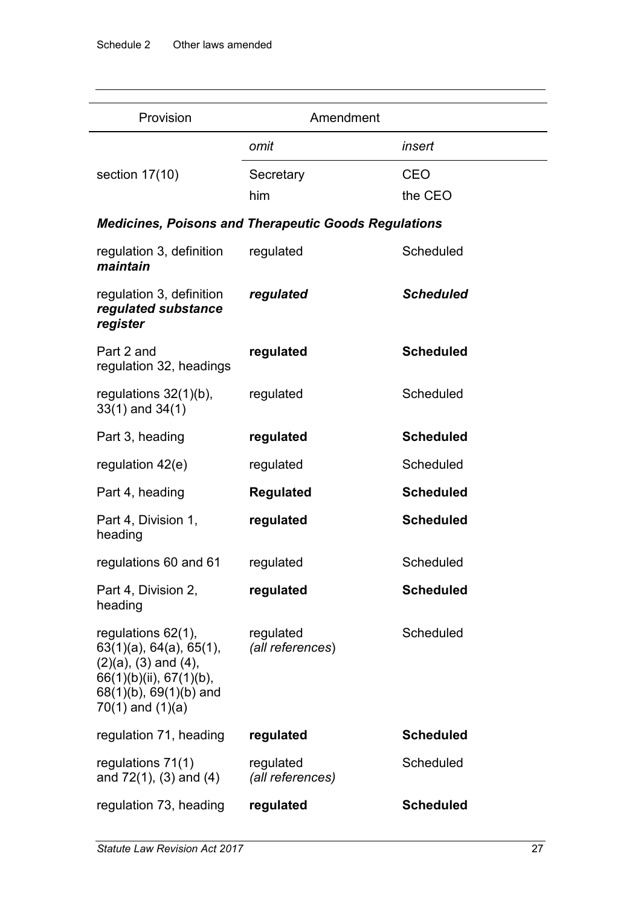| Provision                                                                                                                                                  | Amendment                                                   |                  |
|------------------------------------------------------------------------------------------------------------------------------------------------------------|-------------------------------------------------------------|------------------|
|                                                                                                                                                            | omit                                                        | insert           |
| section $17(10)$                                                                                                                                           | Secretary                                                   | CEO              |
|                                                                                                                                                            | him                                                         | the CEO          |
|                                                                                                                                                            | <b>Medicines, Poisons and Therapeutic Goods Regulations</b> |                  |
| regulation 3, definition<br>maintain                                                                                                                       | regulated                                                   | Scheduled        |
| regulation 3, definition<br>regulated substance<br>register                                                                                                | regulated                                                   | <b>Scheduled</b> |
| Part 2 and<br>regulation 32, headings                                                                                                                      | regulated                                                   | <b>Scheduled</b> |
| regulations $32(1)(b)$ ,<br>$33(1)$ and $34(1)$                                                                                                            | regulated                                                   | Scheduled        |
| Part 3, heading                                                                                                                                            | regulated                                                   | <b>Scheduled</b> |
| regulation $42(e)$                                                                                                                                         | regulated                                                   | Scheduled        |
| Part 4, heading                                                                                                                                            | <b>Regulated</b>                                            | <b>Scheduled</b> |
| Part 4, Division 1,<br>heading                                                                                                                             | regulated                                                   | <b>Scheduled</b> |
| regulations 60 and 61                                                                                                                                      | regulated                                                   | Scheduled        |
| Part 4, Division 2,<br>heading                                                                                                                             | regulated                                                   | <b>Scheduled</b> |
| regulations 62(1),<br>63(1)(a), 64(a), 65(1),<br>$(2)(a)$ , $(3)$ and $(4)$ ,<br>66(1)(b)(ii), 67(1)(b),<br>68(1)(b), 69(1)(b) and<br>$70(1)$ and $(1)(a)$ | regulated<br>(all references)                               | Scheduled        |
| regulation 71, heading                                                                                                                                     | regulated                                                   | <b>Scheduled</b> |
| regulations $71(1)$<br>and 72(1), (3) and (4)                                                                                                              | regulated<br>(all references)                               | Scheduled        |
| regulation 73, heading                                                                                                                                     | regulated                                                   | <b>Scheduled</b> |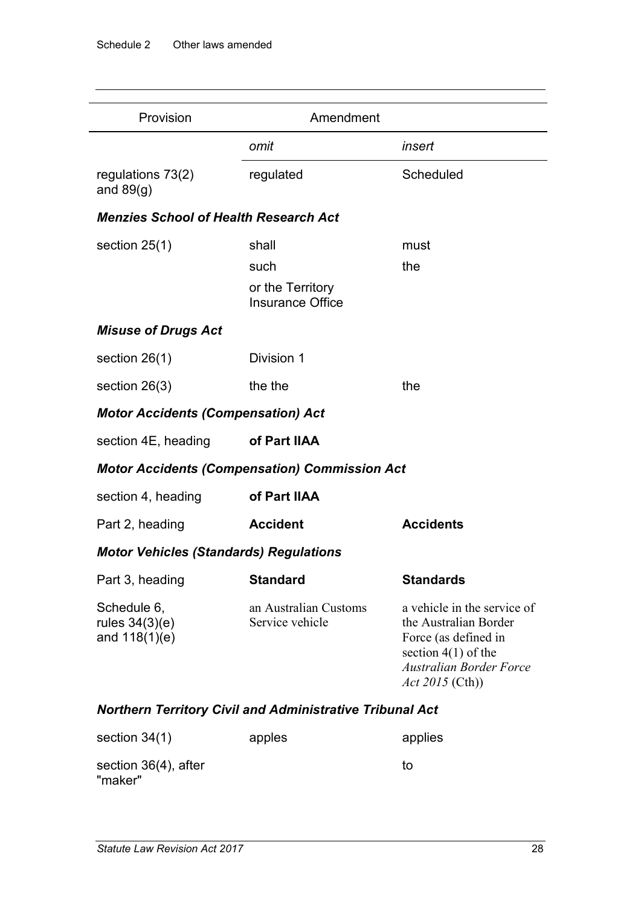| Amendment<br>Provision                                          |                                                      |                                                                                                                                                                   |  |
|-----------------------------------------------------------------|------------------------------------------------------|-------------------------------------------------------------------------------------------------------------------------------------------------------------------|--|
|                                                                 | omit                                                 | insert                                                                                                                                                            |  |
| regulations $73(2)$<br>and $89(g)$                              | regulated                                            | Scheduled                                                                                                                                                         |  |
| <b>Menzies School of Health Research Act</b>                    |                                                      |                                                                                                                                                                   |  |
| section $25(1)$                                                 | shall                                                | must                                                                                                                                                              |  |
|                                                                 | such                                                 | the                                                                                                                                                               |  |
|                                                                 | or the Territory<br><b>Insurance Office</b>          |                                                                                                                                                                   |  |
| <b>Misuse of Drugs Act</b>                                      |                                                      |                                                                                                                                                                   |  |
| section $26(1)$                                                 | Division 1                                           |                                                                                                                                                                   |  |
| section $26(3)$                                                 | the the                                              | the                                                                                                                                                               |  |
| <b>Motor Accidents (Compensation) Act</b>                       |                                                      |                                                                                                                                                                   |  |
| section 4E, heading                                             | of Part IIAA                                         |                                                                                                                                                                   |  |
|                                                                 | <b>Motor Accidents (Compensation) Commission Act</b> |                                                                                                                                                                   |  |
| section 4, heading                                              | of Part IIAA                                         |                                                                                                                                                                   |  |
| Part 2, heading                                                 | <b>Accident</b>                                      | <b>Accidents</b>                                                                                                                                                  |  |
| <b>Motor Vehicles (Standards) Regulations</b>                   |                                                      |                                                                                                                                                                   |  |
| Part 3, heading                                                 | <b>Standard</b>                                      | <b>Standards</b>                                                                                                                                                  |  |
| Schedule 6,<br>rules $34(3)(e)$<br>and $118(1)(e)$              | an Australian Customs<br>Service vehicle             | a vehicle in the service of<br>the Australian Border<br>Force (as defined in<br>section $4(1)$ of the<br><b>Australian Border Force</b><br><i>Act 2015</i> (Cth)) |  |
| <b>Northern Territory Civil and Administrative Tribunal Act</b> |                                                      |                                                                                                                                                                   |  |

| section 34(1)                   | apples | applies |
|---------------------------------|--------|---------|
| section 36(4), after<br>"maker" |        | t٥      |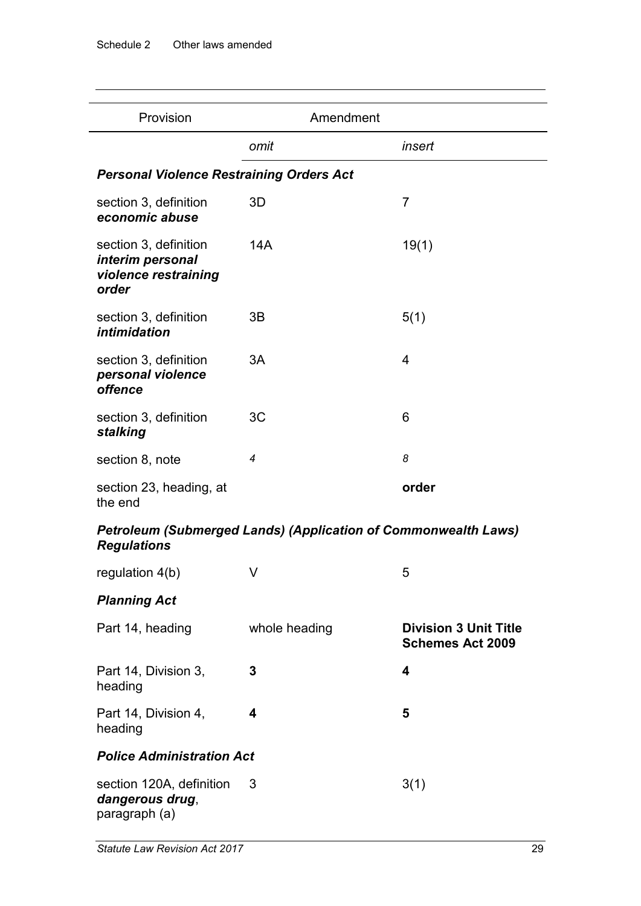| Provision                                                                  | Amendment                                                             |                                                         |
|----------------------------------------------------------------------------|-----------------------------------------------------------------------|---------------------------------------------------------|
|                                                                            | omit                                                                  | insert                                                  |
| <b>Personal Violence Restraining Orders Act</b>                            |                                                                       |                                                         |
| section 3, definition<br>economic abuse                                    | 3D                                                                    | $\overline{7}$                                          |
| section 3, definition<br>interim personal<br>violence restraining<br>order | 14A                                                                   | 19(1)                                                   |
| section 3, definition<br>intimidation                                      | 3B                                                                    | 5(1)                                                    |
| section 3, definition<br>personal violence<br>offence                      | 3A                                                                    | 4                                                       |
| section 3, definition<br>stalking                                          | 3C                                                                    | 6                                                       |
| section 8, note                                                            | $\overline{4}$                                                        | 8                                                       |
| section 23, heading, at<br>the end                                         |                                                                       | order                                                   |
| <b>Regulations</b>                                                         | <b>Petroleum (Submerged Lands) (Application of Commonwealth Laws)</b> |                                                         |
| regulation $4(b)$                                                          | V                                                                     | 5                                                       |
| <b>Planning Act</b>                                                        |                                                                       |                                                         |
| Part 14, heading                                                           | whole heading                                                         | <b>Division 3 Unit Title</b><br><b>Schemes Act 2009</b> |
| Part 14, Division 3,<br>heading                                            | 3                                                                     | 4                                                       |
| Part 14, Division 4,<br>heading                                            | 4                                                                     | 5                                                       |
| <b>Police Administration Act</b>                                           |                                                                       |                                                         |
| section 120A, definition<br>dangerous drug,<br>paragraph (a)               | 3                                                                     | 3(1)                                                    |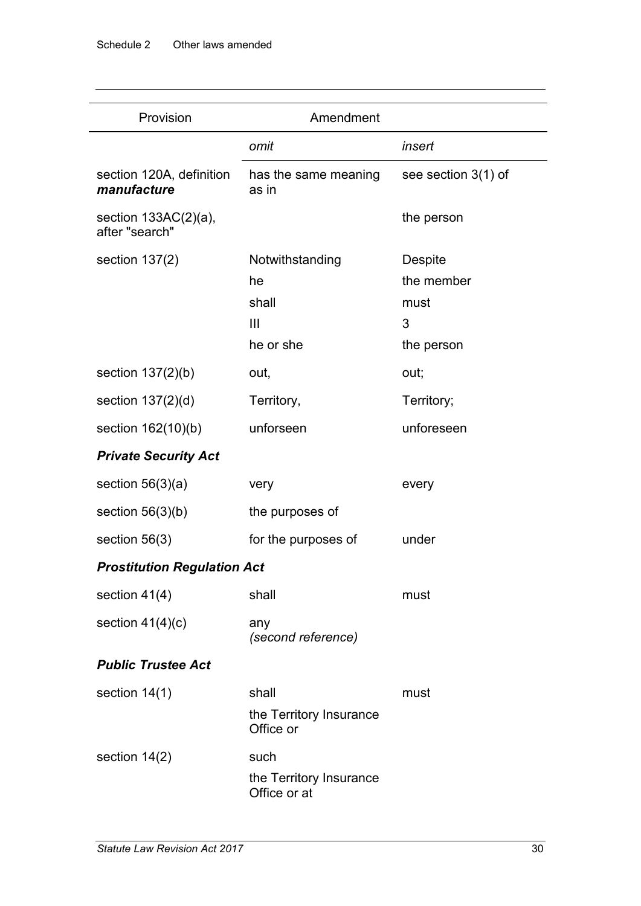| Provision                                 | Amendment                               |                     |
|-------------------------------------------|-----------------------------------------|---------------------|
|                                           | omit                                    | insert              |
| section 120A, definition<br>manufacture   | has the same meaning<br>as in           | see section 3(1) of |
| section $133AC(2)(a)$ ,<br>after "search" |                                         | the person          |
| section $137(2)$                          | Notwithstanding                         | Despite             |
|                                           | he                                      | the member          |
|                                           | shall                                   | must                |
|                                           | Ш                                       | 3                   |
|                                           | he or she                               | the person          |
| section $137(2)(b)$                       | out,                                    | out;                |
| section $137(2)(d)$                       | Territory,                              | Territory;          |
| section 162(10)(b)                        | unforseen                               | unforeseen          |
| <b>Private Security Act</b>               |                                         |                     |
| section $56(3)(a)$                        | very                                    | every               |
| section $56(3)(b)$                        | the purposes of                         |                     |
| section $56(3)$                           | for the purposes of                     | under               |
| <b>Prostitution Regulation Act</b>        |                                         |                     |
| section $41(4)$                           | shall                                   | must                |
| section $41(4)(c)$                        | any<br>(second reference)               |                     |
| <b>Public Trustee Act</b>                 |                                         |                     |
| section $14(1)$                           | shall                                   | must                |
|                                           | the Territory Insurance<br>Office or    |                     |
| section $14(2)$                           | such                                    |                     |
|                                           | the Territory Insurance<br>Office or at |                     |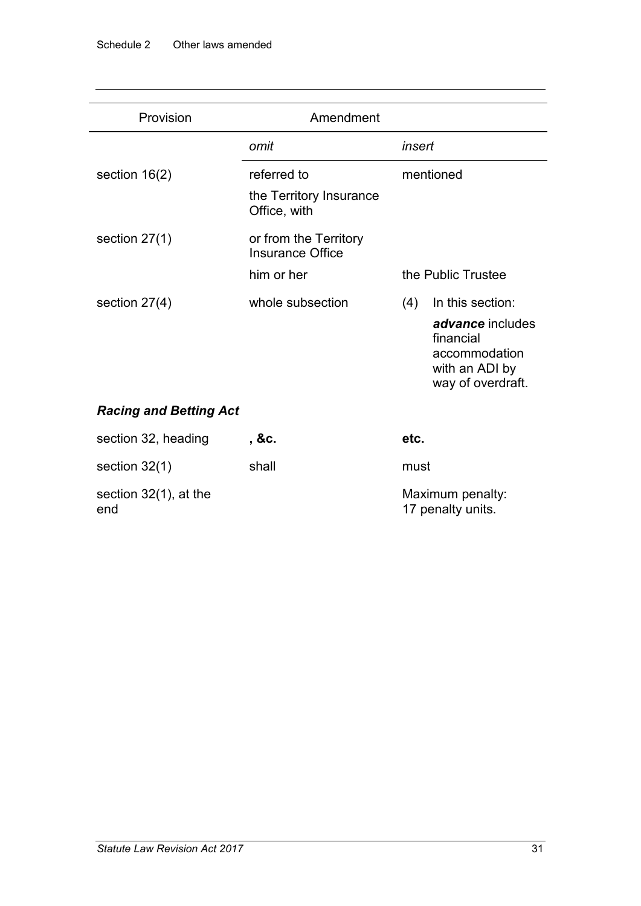| Provision                     | Amendment                                              |                                                                                                                  |
|-------------------------------|--------------------------------------------------------|------------------------------------------------------------------------------------------------------------------|
|                               | omit                                                   | insert                                                                                                           |
| section $16(2)$               | referred to<br>the Territory Insurance<br>Office, with | mentioned                                                                                                        |
| section $27(1)$               | or from the Territory<br><b>Insurance Office</b>       |                                                                                                                  |
|                               | him or her                                             | the Public Trustee                                                                                               |
| section $27(4)$               | whole subsection                                       | In this section:<br>(4)<br>advance includes<br>financial<br>accommodation<br>with an ADI by<br>way of overdraft. |
| <b>Racing and Betting Act</b> |                                                        |                                                                                                                  |
| section 32, heading           | , &c.                                                  | etc.                                                                                                             |
| section $32(1)$               | shall                                                  | must                                                                                                             |

section 32(1), at the end

Maximum penalty: 17 penalty units.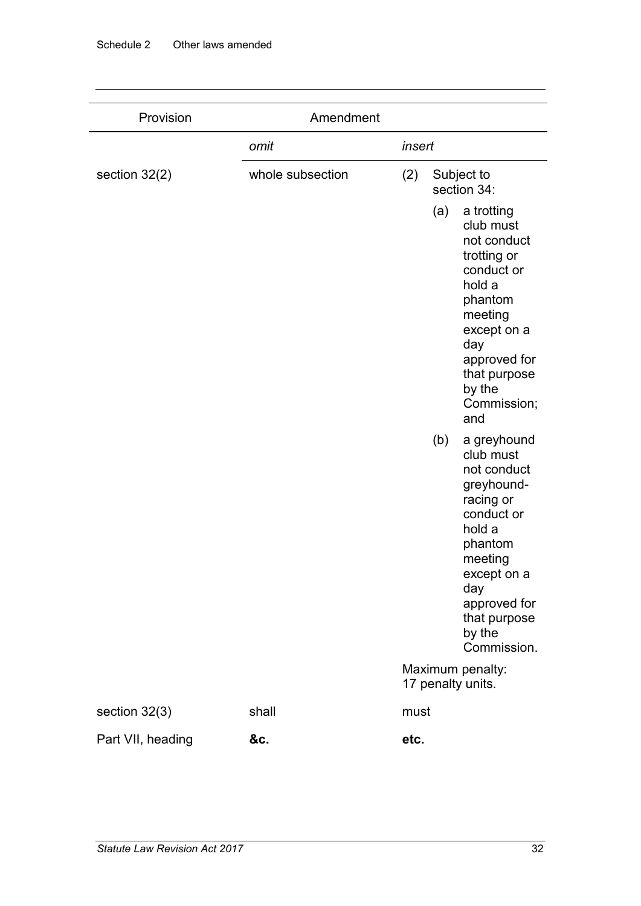| Provision         | Amendment        |                                                                                                                                                                                                        |  |
|-------------------|------------------|--------------------------------------------------------------------------------------------------------------------------------------------------------------------------------------------------------|--|
|                   | omit             | insert                                                                                                                                                                                                 |  |
| section 32(2)     | whole subsection | (2)<br>Subject to<br>section 34:                                                                                                                                                                       |  |
|                   |                  | (a)<br>a trotting<br>club must<br>not conduct<br>trotting or<br>conduct or<br>hold a<br>phantom<br>meeting<br>except on a<br>day<br>approved for<br>that purpose<br>by the<br>Commission;<br>and       |  |
|                   |                  | (b)<br>a greyhound<br>club must<br>not conduct<br>greyhound-<br>racing or<br>conduct or<br>hold a<br>phantom<br>meeting<br>except on a<br>day<br>approved for<br>that purpose<br>by the<br>Commission. |  |
|                   |                  | Maximum penalty:<br>17 penalty units.                                                                                                                                                                  |  |
| section $32(3)$   | shall            | must                                                                                                                                                                                                   |  |
| Part VII, heading | &c.              | etc.                                                                                                                                                                                                   |  |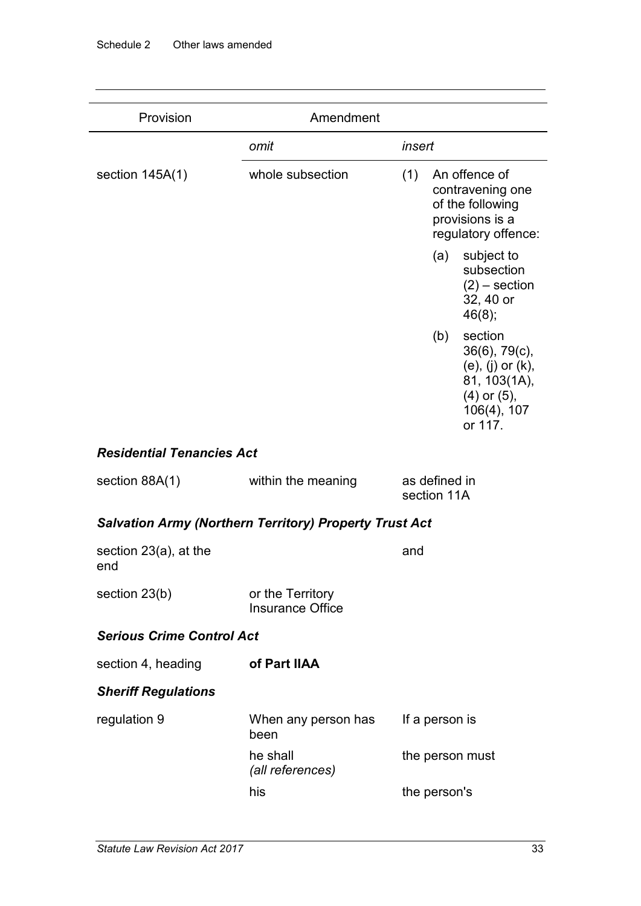| Provision                        | Amendment                                                     |                                                                                                                      |  |
|----------------------------------|---------------------------------------------------------------|----------------------------------------------------------------------------------------------------------------------|--|
|                                  | omit                                                          | insert                                                                                                               |  |
| section $145A(1)$                | whole subsection                                              | An offence of<br>(1)<br>contravening one<br>of the following<br>provisions is a<br>regulatory offence:               |  |
|                                  |                                                               | subject to<br>(a)<br>subsection<br>$(2)$ – section<br>32, 40 or<br>46(8);                                            |  |
|                                  |                                                               | section<br>(b)<br>36(6), 79(c),<br>(e), (j) or (k),<br>81, 103(1A),<br>$(4)$ or $(5)$ ,<br>$106(4)$ , 107<br>or 117. |  |
| <b>Residential Tenancies Act</b> |                                                               |                                                                                                                      |  |
| section $88A(1)$                 | within the meaning                                            | as defined in<br>section 11A                                                                                         |  |
|                                  | <b>Salvation Army (Northern Territory) Property Trust Act</b> |                                                                                                                      |  |
| section 23(a), at the<br>end     |                                                               | and                                                                                                                  |  |
| section 23(b)                    | or the Territory<br><b>Insurance Office</b>                   |                                                                                                                      |  |
| <b>Serious Crime Control Act</b> |                                                               |                                                                                                                      |  |
| section 4, heading               | of Part IIAA                                                  |                                                                                                                      |  |
| <b>Sheriff Regulations</b>       |                                                               |                                                                                                                      |  |
| regulation 9                     | When any person has<br>been                                   | If a person is                                                                                                       |  |
|                                  | he shall<br>(all references)                                  | the person must                                                                                                      |  |
|                                  | his                                                           | the person's                                                                                                         |  |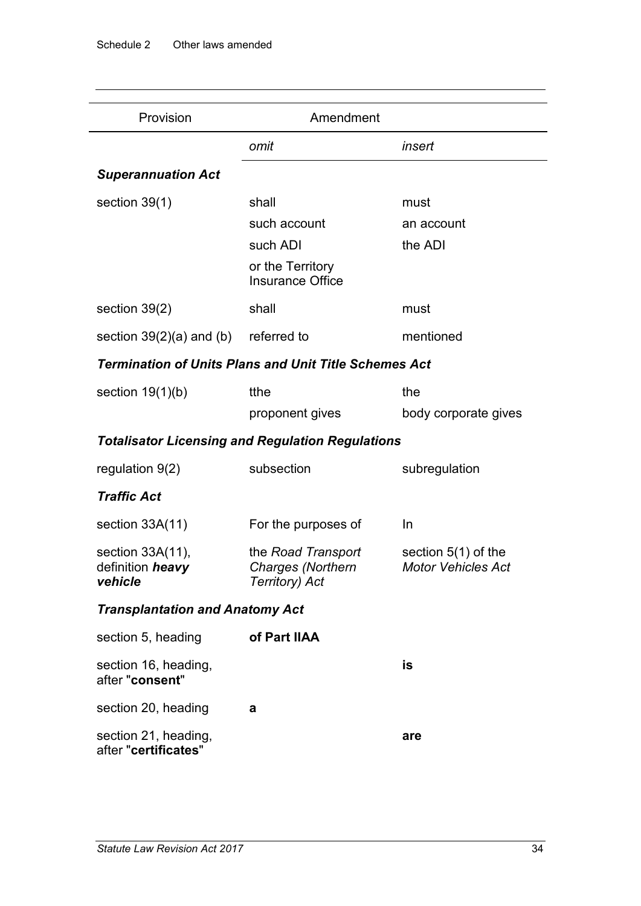| Provision                                                    | Amendment                                                        |                                                    |
|--------------------------------------------------------------|------------------------------------------------------------------|----------------------------------------------------|
|                                                              | omit                                                             | insert                                             |
| <b>Superannuation Act</b>                                    |                                                                  |                                                    |
| section 39(1)                                                | shall                                                            | must                                               |
|                                                              | such account                                                     | an account                                         |
|                                                              | such ADI                                                         | the ADI                                            |
|                                                              | or the Territory<br><b>Insurance Office</b>                      |                                                    |
| section 39(2)                                                | shall                                                            | must                                               |
| section $39(2)(a)$ and (b)                                   | referred to                                                      | mentioned                                          |
| <b>Termination of Units Plans and Unit Title Schemes Act</b> |                                                                  |                                                    |
| section $19(1)(b)$                                           | tthe                                                             | the                                                |
|                                                              | proponent gives                                                  | body corporate gives                               |
| <b>Totalisator Licensing and Regulation Regulations</b>      |                                                                  |                                                    |
| regulation $9(2)$                                            | subsection                                                       | subregulation                                      |
| <b>Traffic Act</b>                                           |                                                                  |                                                    |
| section $33A(11)$                                            | For the purposes of                                              | In                                                 |
| section 33A(11),<br>definition heavy<br>vehicle              | the Road Transport<br><b>Charges (Northern</b><br>Territory) Act | section $5(1)$ of the<br><b>Motor Vehicles Act</b> |
| <b>Transplantation and Anatomy Act</b>                       |                                                                  |                                                    |
| section 5, heading                                           | of Part IIAA                                                     |                                                    |
| section 16, heading,<br>after "consent"                      |                                                                  | is                                                 |
| section 20, heading                                          | a                                                                |                                                    |
| section 21, heading,<br>after "certificates"                 |                                                                  | are                                                |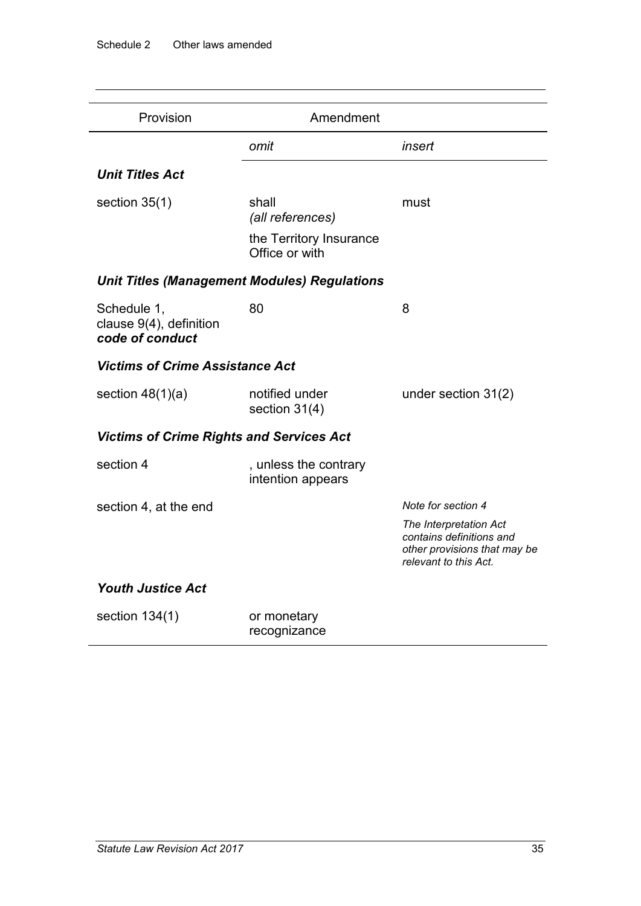| Provision                                                 | Amendment                                           |                                                                                                             |  |
|-----------------------------------------------------------|-----------------------------------------------------|-------------------------------------------------------------------------------------------------------------|--|
|                                                           | omit                                                | insert                                                                                                      |  |
| <b>Unit Titles Act</b>                                    |                                                     |                                                                                                             |  |
| section $35(1)$                                           | shall<br>(all references)                           | must                                                                                                        |  |
|                                                           | the Territory Insurance<br>Office or with           |                                                                                                             |  |
|                                                           | <b>Unit Titles (Management Modules) Regulations</b> |                                                                                                             |  |
| Schedule 1,<br>clause 9(4), definition<br>code of conduct | 80                                                  | 8                                                                                                           |  |
| <b>Victims of Crime Assistance Act</b>                    |                                                     |                                                                                                             |  |
| section $48(1)(a)$                                        | notified under<br>section 31(4)                     | under section $31(2)$                                                                                       |  |
| <b>Victims of Crime Rights and Services Act</b>           |                                                     |                                                                                                             |  |
| section 4                                                 | , unless the contrary<br>intention appears          |                                                                                                             |  |
| section 4, at the end                                     |                                                     | Note for section 4                                                                                          |  |
|                                                           |                                                     | The Interpretation Act<br>contains definitions and<br>other provisions that may be<br>relevant to this Act. |  |
| <b>Youth Justice Act</b>                                  |                                                     |                                                                                                             |  |
| section $134(1)$                                          | or monetary<br>recognizance                         |                                                                                                             |  |